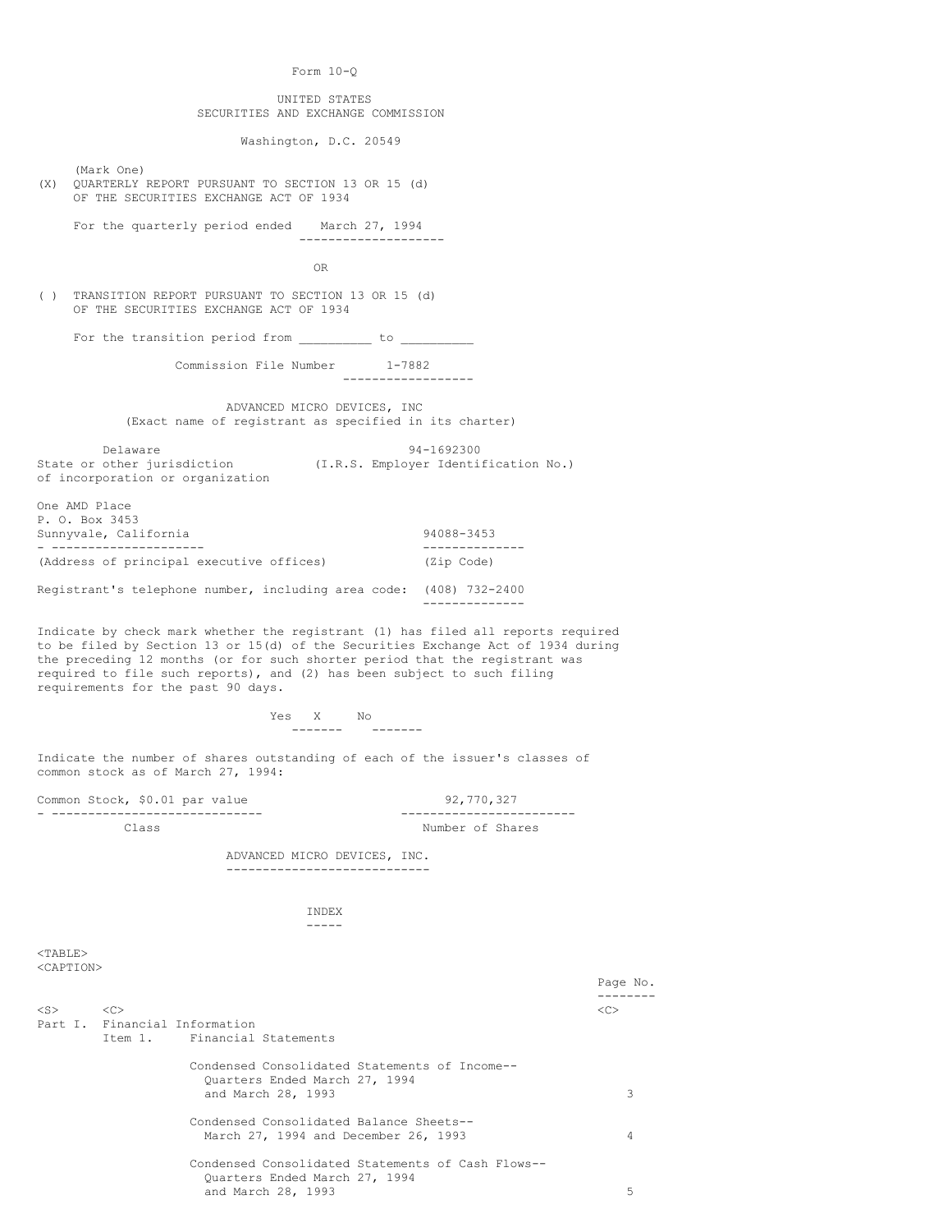Form 10-Q

## UNITED STATES SECURITIES AND EXCHANGE COMMISSION

Washington, D.C. 20549

(Mark One)

(X) QUARTERLY REPORT PURSUANT TO SECTION 13 OR 15 (d) OF THE SECURITIES EXCHANGE ACT OF 1934

 For the quarterly period ended March 27, 1994 --------------------

**OR** STREET IN THE STREET IS NOT THE STREET IN THE STREET IS NOT THE STREET IN THE STREET IS NOT THE STREET IN THE STREET IS NOT THE STREET IN THE STREET IS NOT THE STREET IN THE STREET IS NOT THE STREET IN THE STREET IS N

( ) TRANSITION REPORT PURSUANT TO SECTION 13 OR 15 (d) OF THE SECURITIES EXCHANGE ACT OF 1934

For the transition period from  $\frac{1}{\sqrt{1-\frac{1}{n}}}$  to  $\frac{1}{\sqrt{1-\frac{1}{n}}}$ 

 Commission File Number 1-7882 ------------------

 ADVANCED MICRO DEVICES, INC (Exact name of registrant as specified in its charter)

Delaware 94-1692300<br>State or other jurisdiction (I.R.S. Employer Identi (I.R.S. Employer Identification No.) of incorporation or organization

One AMD Place P. O. Box 3453 Sunnyvale, California 94088-3453 - --------------------- -------------- (Address of principal executive offices) (Zip Code)

Registrant's telephone number, including area code: (408) 732-2400

--------------

Indicate by check mark whether the registrant (1) has filed all reports required to be filed by Section 13 or 15(d) of the Securities Exchange Act of 1934 during the preceding 12 months (or for such shorter period that the registrant was required to file such reports), and (2) has been subject to such filing requirements for the past 90 days.

Yes X No<br>------- -------------- -------

Indicate the number of shares outstanding of each of the issuer's classes of common stock as of March 27, 1994:

Common Stock, \$0.01 par value 92,770,327 - ------------------------------

-----

Class Number of Shares

 ADVANCED MICRO DEVICES, INC. ----------------------------

INDEX

<TABLE> <CAPTION>

|           |               |                                                                                                          | Page No. |
|-----------|---------------|----------------------------------------------------------------------------------------------------------|----------|
| $<$ S $>$ | < <sub></sub> | Part I. Financial Information<br>Item 1. Financial Statements                                            | <<       |
|           |               | Condensed Consolidated Statements of Income--<br>Ouarters Ended March 27, 1994<br>and March 28, 1993     | 3        |
|           |               | Condensed Consolidated Balance Sheets--<br>March 27, 1994 and December 26, 1993                          | 4        |
|           |               | Condensed Consolidated Statements of Cash Flows--<br>Ouarters Ended March 27, 1994<br>and March 28, 1993 | 5        |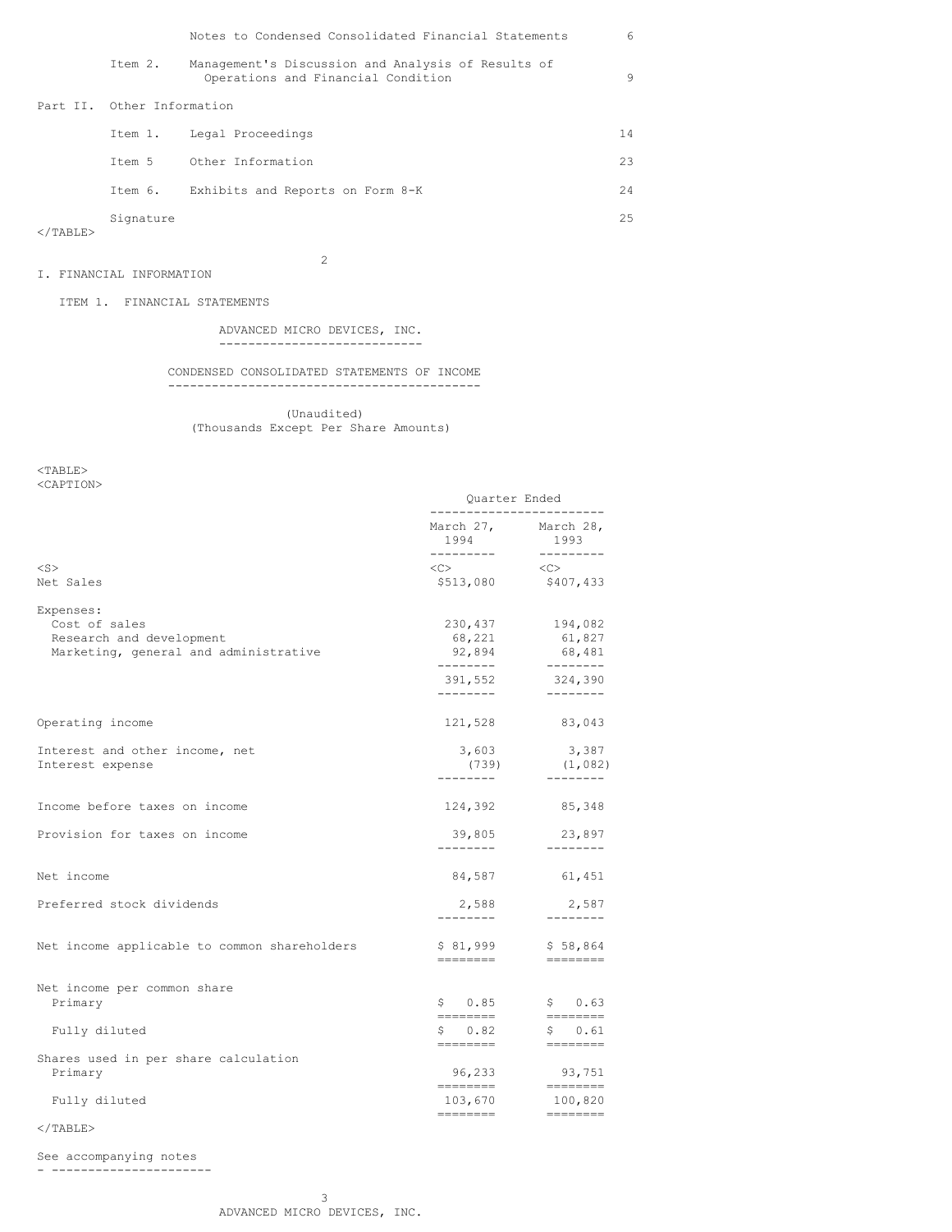|                   |                            | Notes to Condensed Consolidated Financial Statements                                     | 6   |
|-------------------|----------------------------|------------------------------------------------------------------------------------------|-----|
|                   | Item 2.                    | Management's Discussion and Analysis of Results of<br>Operations and Financial Condition | 9   |
|                   | Part II. Other Information |                                                                                          |     |
|                   |                            | Item 1. Legal Proceedings                                                                | 14  |
|                   | Ttem 5                     | Other Information                                                                        | 23  |
|                   | Item 6.                    | Exhibits and Reports on Form 8-K                                                         | 2.4 |
| $\langle$ /TABLE> | Signature                  |                                                                                          | 2.5 |
|                   |                            |                                                                                          |     |

2

# I. FINANCIAL INFORMATION

ITEM 1. FINANCIAL STATEMENTS

## ADVANCED MICRO DEVICES, INC. ----------------------------

### CONDENSED CONSOLIDATED STATEMENTS OF INCOME -------------------------------------------

 (Unaudited) (Thousands Except Per Share Amounts)

<TABLE> <CAPTION>

|                                                                                                 | Quarter Ended<br>------------------------ |                                                                                                                                                                                                                                                                                                                                                                                                                                                                                                                                                              |
|-------------------------------------------------------------------------------------------------|-------------------------------------------|--------------------------------------------------------------------------------------------------------------------------------------------------------------------------------------------------------------------------------------------------------------------------------------------------------------------------------------------------------------------------------------------------------------------------------------------------------------------------------------------------------------------------------------------------------------|
|                                                                                                 | March 27, March 28,<br>1994<br>---------  | 1993<br>___________                                                                                                                                                                                                                                                                                                                                                                                                                                                                                                                                          |
| $<$ S $>$<br>Net Sales                                                                          | $<\infty>$                                | $\langle$ C><br>\$513,080 \$407,433                                                                                                                                                                                                                                                                                                                                                                                                                                                                                                                          |
| Expenses:<br>Cost of sales<br>Research and development<br>Marketing, general and administrative | 230,437<br>68,221<br>92,894<br>---------  | 194,082<br>61,827<br>68,481<br>_________                                                                                                                                                                                                                                                                                                                                                                                                                                                                                                                     |
|                                                                                                 | ________                                  | 391,552 324,390<br>$- - - - - - - -$                                                                                                                                                                                                                                                                                                                                                                                                                                                                                                                         |
| Operating income                                                                                |                                           | 121,528 83,043                                                                                                                                                                                                                                                                                                                                                                                                                                                                                                                                               |
| Interest and other income, net<br>Interest expense                                              | 3,603<br>---------                        | 3,387<br>$(739)$ $(1,082)$<br>---------                                                                                                                                                                                                                                                                                                                                                                                                                                                                                                                      |
| Income before taxes on income                                                                   |                                           | 124,392 85,348                                                                                                                                                                                                                                                                                                                                                                                                                                                                                                                                               |
| Provision for taxes on income                                                                   | 39,805                                    | 23,897<br>--------                                                                                                                                                                                                                                                                                                                                                                                                                                                                                                                                           |
| Net income                                                                                      | 84,587                                    | 61,451                                                                                                                                                                                                                                                                                                                                                                                                                                                                                                                                                       |
| Preferred stock dividends                                                                       | 2,588<br>---------                        | 2,587<br>--------                                                                                                                                                                                                                                                                                                                                                                                                                                                                                                                                            |
| Net income applicable to common shareholders                                                    | \$ 81,999<br>========                     | \$58,864<br>$\begin{array}{cccccccccc} \multicolumn{2}{c}{} & \multicolumn{2}{c}{} & \multicolumn{2}{c}{} & \multicolumn{2}{c}{} & \multicolumn{2}{c}{} & \multicolumn{2}{c}{} & \multicolumn{2}{c}{} & \multicolumn{2}{c}{} & \multicolumn{2}{c}{} & \multicolumn{2}{c}{} & \multicolumn{2}{c}{} & \multicolumn{2}{c}{} & \multicolumn{2}{c}{} & \multicolumn{2}{c}{} & \multicolumn{2}{c}{} & \multicolumn{2}{c}{} & \multicolumn{2}{c}{} & \multicolumn{2}{c}{} & \multicolumn{2}{c}{} & \mult$                                                           |
| Net income per common share<br>Primary                                                          | \$0.85                                    | \$0.63                                                                                                                                                                                                                                                                                                                                                                                                                                                                                                                                                       |
| Fully diluted                                                                                   | \$0.82                                    | \$ 0.61                                                                                                                                                                                                                                                                                                                                                                                                                                                                                                                                                      |
| Shares used in per share calculation<br>Primary                                                 | --------<br>96,233                        | $= 222222222$<br>93,751                                                                                                                                                                                                                                                                                                                                                                                                                                                                                                                                      |
| Fully diluted                                                                                   | ========<br>103,670                       | $\qquad \qquad \overline{\qquad \qquad }==-\frac{1}{2}$<br>100,820<br>$\begin{array}{cccccccccc} \multicolumn{2}{c}{} & \multicolumn{2}{c}{} & \multicolumn{2}{c}{} & \multicolumn{2}{c}{} & \multicolumn{2}{c}{} & \multicolumn{2}{c}{} & \multicolumn{2}{c}{} & \multicolumn{2}{c}{} & \multicolumn{2}{c}{} & \multicolumn{2}{c}{} & \multicolumn{2}{c}{} & \multicolumn{2}{c}{} & \multicolumn{2}{c}{} & \multicolumn{2}{c}{} & \multicolumn{2}{c}{} & \multicolumn{2}{c}{} & \multicolumn{2}{c}{} & \multicolumn{2}{c}{} & \multicolumn{2}{c}{} & \mult$ |
|                                                                                                 |                                           |                                                                                                                                                                                                                                                                                                                                                                                                                                                                                                                                                              |

 $\langle$ /TABLE $>$ 

See accompanying notes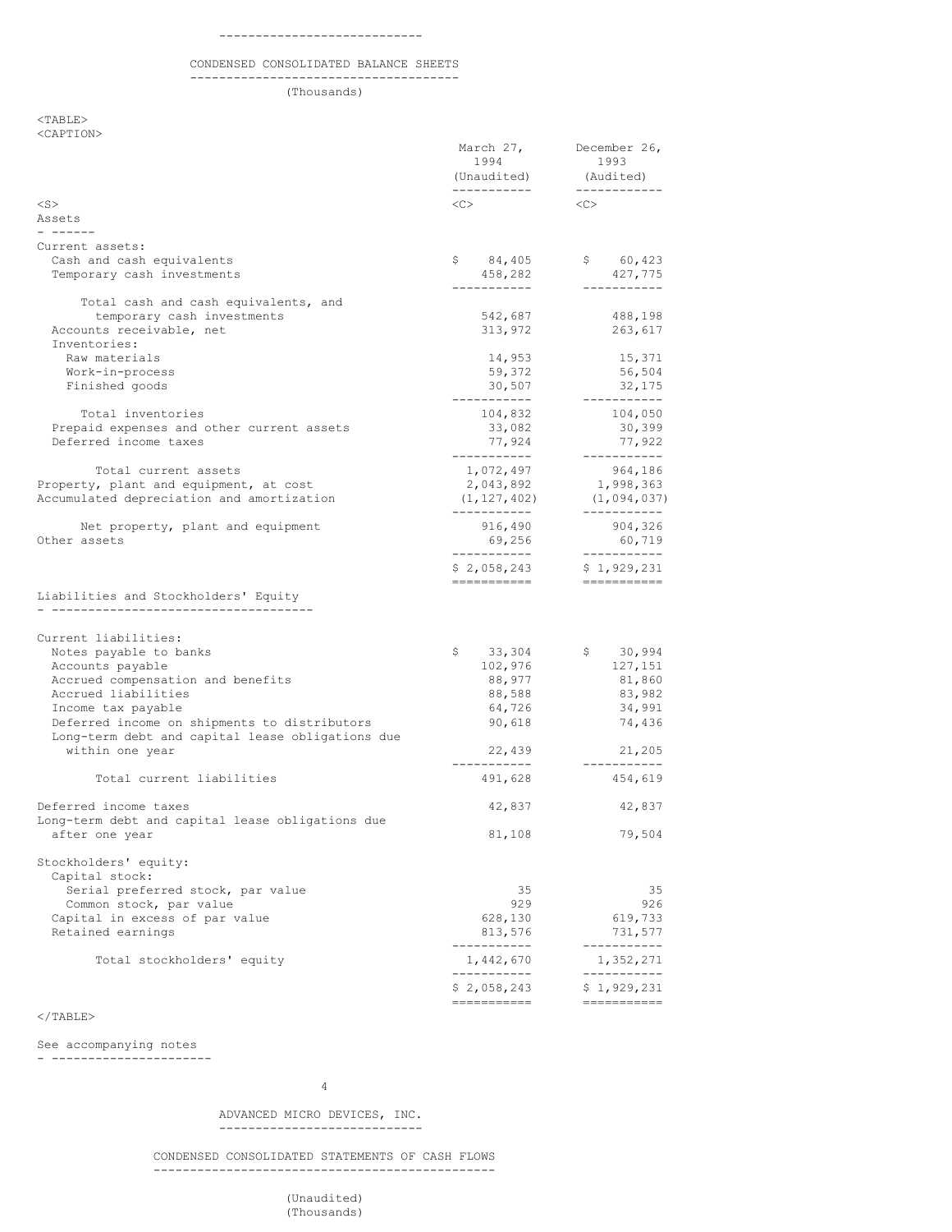### CONDENSED CONSOLIDATED BALANCE SHEETS

 ------------------------------------- (Thousands)

 $<$ TABLE $>$ <CAPTION>

|                                                  | March 27,<br>1994<br>(Unaudited) | December 26,<br>1993<br>(Audited) |  |
|--------------------------------------------------|----------------------------------|-----------------------------------|--|
|                                                  |                                  | _____________                     |  |
| $<$ S $>$<br>Assets<br>$     -$                  | <<>                              | <<                                |  |
| Current assets:                                  |                                  |                                   |  |
| Cash and cash equivalents                        | \$84,405                         | \$60,423                          |  |
| Temporary cash investments                       | 458,282                          | 427,775                           |  |
|                                                  | -----------                      | -----------                       |  |
| Total cash and cash equivalents, and             |                                  |                                   |  |
| temporary cash investments                       | 542,687                          | 488,198                           |  |
| Accounts receivable, net<br>Inventories:         | 313,972                          | 263,617                           |  |
| Raw materials                                    | 14,953                           | 15,371                            |  |
| Work-in-process                                  | 59,372                           | 56,504                            |  |
| Finished goods                                   | 30,507                           | 32,175                            |  |
|                                                  | ------------                     | -----------                       |  |
| Total inventories                                | 104,832                          | 104,050                           |  |
| Prepaid expenses and other current assets        | 33,082                           | 30,399                            |  |
| Deferred income taxes                            | 77,924                           | 77,922                            |  |
|                                                  | -----------                      | -----------                       |  |
| Total current assets                             | 1,072,497                        | 964,186                           |  |
| Property, plant and equipment, at cost           | 2,043,892                        | 1,998,363                         |  |
| Accumulated depreciation and amortization        | (1, 127, 402)<br>-----------     | (1,094,037)<br>-----------        |  |
| Net property, plant and equipment                | 916,490                          | 904,326                           |  |
| Other assets                                     | 69,256                           | 60,719                            |  |
|                                                  | -----------                      | -----------                       |  |
|                                                  | \$2,058,243                      | \$1,929,231                       |  |
|                                                  | -----------                      | ===========                       |  |
| Liabilities and Stockholders' Equity             |                                  |                                   |  |
| ---------------------------------                |                                  |                                   |  |
|                                                  |                                  |                                   |  |
| Current liabilities:<br>Notes payable to banks   | \$<br>33,304                     | \$30,994                          |  |
| Accounts payable                                 | 102,976                          | 127,151                           |  |
| Accrued compensation and benefits                | 88,977                           | 81,860                            |  |
| Accrued liabilities                              | 88,588                           | 83,982                            |  |
| Income tax payable                               | 64,726                           | 34,991                            |  |
| Deferred income on shipments to distributors     | 90,618                           | 74,436                            |  |
| Long-term debt and capital lease obligations due |                                  |                                   |  |
| within one year                                  | 22,439                           | 21,205                            |  |
|                                                  | -----------                      | -----------                       |  |
| Total current liabilities                        | 491,628                          | 454,619                           |  |
| Deferred income taxes                            | 42,837                           | 42,837                            |  |
| Long-term debt and capital lease obligations due |                                  |                                   |  |
| after one year                                   | 81,108                           | 79,504                            |  |
|                                                  |                                  |                                   |  |
| Stockholders' equity:                            |                                  |                                   |  |
| Capital stock:                                   |                                  |                                   |  |
| Serial preferred stock, par value                | 35                               | 35                                |  |
| Common stock, par value                          | 929                              | 926                               |  |
| Capital in excess of par value                   | 628,130                          | 619,733                           |  |
| Retained earnings                                | 813,576                          | 731,577                           |  |
|                                                  | ___________                      | -----------                       |  |
| Total stockholders' equity                       | 1,442,670<br>-----------         | 1,352,271<br>___________          |  |
|                                                  | \$2,058,243                      | \$1,929,231                       |  |
|                                                  | ===========                      | ===========                       |  |

# $\langle$ /TABLE $\rangle$

See accompanying notes

- ----------------------

#### 4

 ADVANCED MICRO DEVICES, INC. ----------------------------

 CONDENSED CONSOLIDATED STATEMENTS OF CASH FLOWS -----------------------------------------------

> (Unaudited) (Thousands)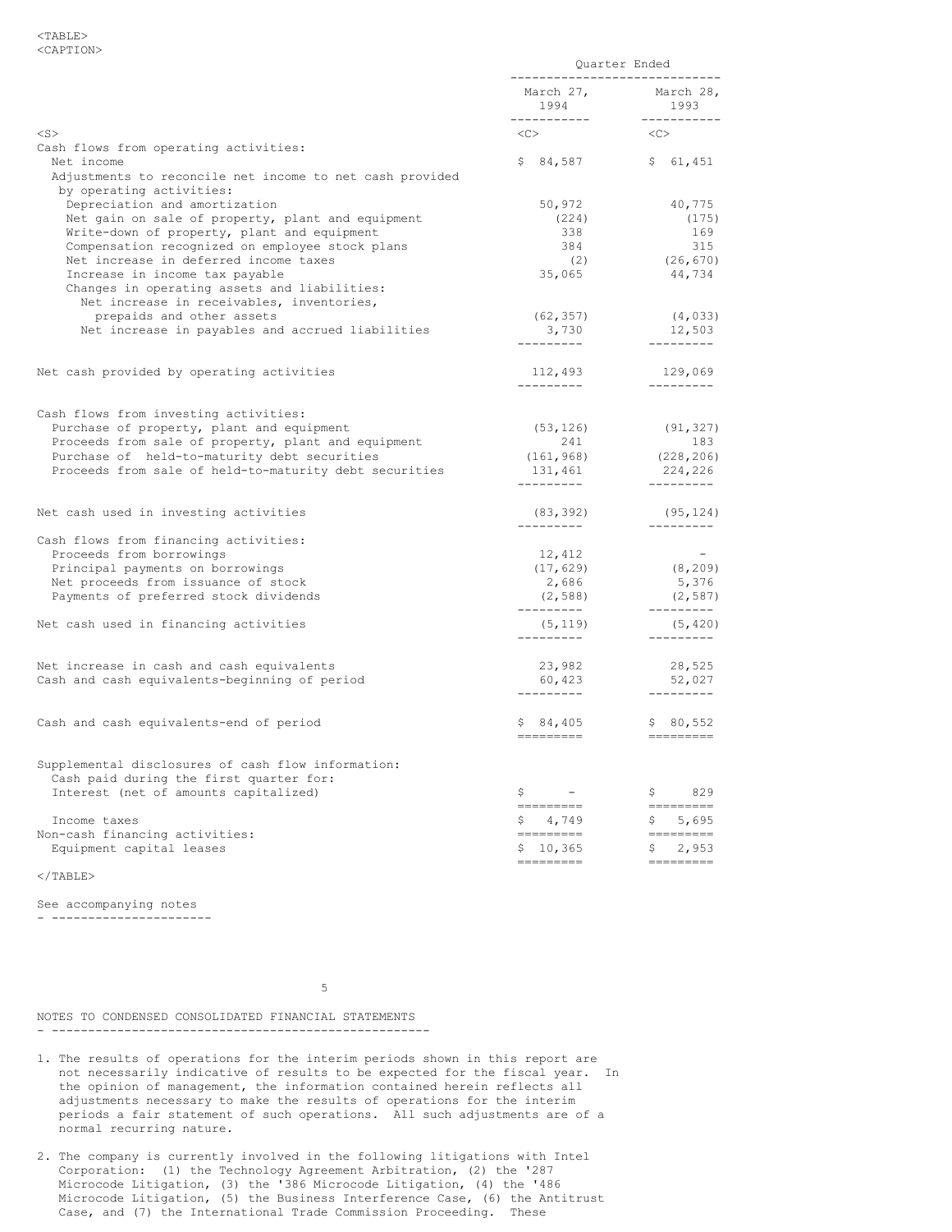|                                                                                                                                                                                                                                                                                                                                                                                                                                                                           | Quarter Ended<br>-----------------------------              |                                                                                                                                                                                                                                                                                                                                                                                                                                                                                                             |
|---------------------------------------------------------------------------------------------------------------------------------------------------------------------------------------------------------------------------------------------------------------------------------------------------------------------------------------------------------------------------------------------------------------------------------------------------------------------------|-------------------------------------------------------------|-------------------------------------------------------------------------------------------------------------------------------------------------------------------------------------------------------------------------------------------------------------------------------------------------------------------------------------------------------------------------------------------------------------------------------------------------------------------------------------------------------------|
|                                                                                                                                                                                                                                                                                                                                                                                                                                                                           |                                                             |                                                                                                                                                                                                                                                                                                                                                                                                                                                                                                             |
| $<$ S $>$                                                                                                                                                                                                                                                                                                                                                                                                                                                                 | $\langle C \rangle$                                         | < <c></c>                                                                                                                                                                                                                                                                                                                                                                                                                                                                                                   |
| Cash flows from operating activities:<br>Net income<br>Adjustments to reconcile net income to net cash provided                                                                                                                                                                                                                                                                                                                                                           |                                                             | $$84,587$ $$61,451$                                                                                                                                                                                                                                                                                                                                                                                                                                                                                         |
| by operating activities:<br>Depreciation and amortization<br>Net gain on sale of property, plant and equipment<br>Write-down of property, plant and equipment<br>Compensation recognized on employee stock plans<br>Net increase in deferred income taxes<br>Increase in income tax payable<br>Changes in operating assets and liabilities:<br>Net increase in receivables, inventories,<br>prepaids and other assets<br>Net increase in payables and accrued liabilities | 50,972<br>(224)<br>338<br>384<br>(2)<br>35,065<br>(62, 357) | 40,775<br>(175)<br>169<br>315<br>$\frac{315}{(26,670)}$<br>44,734<br>(4, 033)<br>12,503                                                                                                                                                                                                                                                                                                                                                                                                                     |
| Net cash provided by operating activities                                                                                                                                                                                                                                                                                                                                                                                                                                 | 112,493                                                     | 129,069                                                                                                                                                                                                                                                                                                                                                                                                                                                                                                     |
| Cash flows from investing activities:<br>Purchase of property, plant and equipment<br>Proceeds from sale of property, plant and equipment<br>Purchase of held-to-maturity debt securities<br>Proceeds from sale of held-to-maturity debt securities                                                                                                                                                                                                                       | 241                                                         | $(53, 126)$ (91, 327)<br>183<br>$(161, 968)$ $(151, 968)$ $131, 461$ $(228, 206)$ $-224, 226$ $-244$ $-244$ $-244$ $-244$ $-244$ $-244$ $-244$ $-244$ $-244$ $-244$ $-244$ $-244$ $-244$ $-244$ $-244$ $-244$ $-244$ $-244$ $-244$ $-244$ $-244$ $-244$ $-244$                                                                                                                                                                                                                                              |
| Net cash used in investing activities                                                                                                                                                                                                                                                                                                                                                                                                                                     | $(83, 392)$ $(95, 124)$                                     | (95, 124)                                                                                                                                                                                                                                                                                                                                                                                                                                                                                                   |
| Cash flows from financing activities:<br>Proceeds from borrowings<br>Principal payments on borrowings<br>Net proceeds from issuance of stock<br>Payments of preferred stock dividends<br>Net cash used in financing activities                                                                                                                                                                                                                                            | 12,412<br>$(17, 629)$<br>2,686<br>(2, 588)<br>(5, 119)      | $\sim$ $-$<br>(8, 209)<br>5,376<br>(2, 587)<br>(2, 587)<br>(5, 420)                                                                                                                                                                                                                                                                                                                                                                                                                                         |
| Net increase in cash and cash equivalents<br>Cash and cash equivalents-beginning of period                                                                                                                                                                                                                                                                                                                                                                                | 23,982<br>60,423<br>----------                              | ---------<br>$28,525$<br>52,027                                                                                                                                                                                                                                                                                                                                                                                                                                                                             |
| Cash and cash equivalents-end of period                                                                                                                                                                                                                                                                                                                                                                                                                                   | =========                                                   | $$84,405$ $$80,552$<br>$\begin{array}{cccccc} \multicolumn{2}{c}{} & \multicolumn{2}{c}{} & \multicolumn{2}{c}{} & \multicolumn{2}{c}{} & \multicolumn{2}{c}{} & \multicolumn{2}{c}{} & \multicolumn{2}{c}{} & \multicolumn{2}{c}{} & \multicolumn{2}{c}{} & \multicolumn{2}{c}{} & \multicolumn{2}{c}{} & \multicolumn{2}{c}{} & \multicolumn{2}{c}{} & \multicolumn{2}{c}{} & \multicolumn{2}{c}{} & \multicolumn{2}{c}{} & \multicolumn{2}{c}{} & \multicolumn{2}{c}{} & \multicolumn{2}{c}{} & \multic$ |
| Supplemental disclosures of cash flow information:<br>Cash paid during the first quarter for:<br>Interest (net of amounts capitalized)                                                                                                                                                                                                                                                                                                                                    | $\begin{array}{ccc} \xi & \quad & - & \quad \end{array}$    | \$829                                                                                                                                                                                                                                                                                                                                                                                                                                                                                                       |
| Income taxes                                                                                                                                                                                                                                                                                                                                                                                                                                                              | =========<br>\$4,749                                        | ---------                                                                                                                                                                                                                                                                                                                                                                                                                                                                                                   |
| Non-cash financing activities:<br>Equipment capital leases                                                                                                                                                                                                                                                                                                                                                                                                                | ---------<br>\$10,365                                       | $$5,695$<br>=========<br>\$2,953                                                                                                                                                                                                                                                                                                                                                                                                                                                                            |
|                                                                                                                                                                                                                                                                                                                                                                                                                                                                           | =========                                                   | <b>CONSIDER</b>                                                                                                                                                                                                                                                                                                                                                                                                                                                                                             |

 $<$ /TABLE>

See accompanying notes - ----------------------

 $5<sub>5</sub>$ 

NOTES TO CONDENSED CONSOLIDATED FINANCIAL STATEMENTS - ----------------------------------------------------

- 1. The results of operations for the interim periods shown in this report are not necessarily indicative of results to be expected for the fiscal year. In the opinion of management, the information contained herein reflects all adjustments necessary to make the results of operations for the interim periods a fair statement of such operations. All such adjustments are of a normal recurring nature.
- 2. The company is currently involved in the following litigations with Intel Corporation: (1) the Technology Agreement Arbitration, (2) the '287 Microcode Litigation, (3) the '386 Microcode Litigation, (4) the '486 Microcode Litigation, (5) the Business Interference Case, (6) the Antitrust Case, and (7) the International Trade Commission Proceeding. These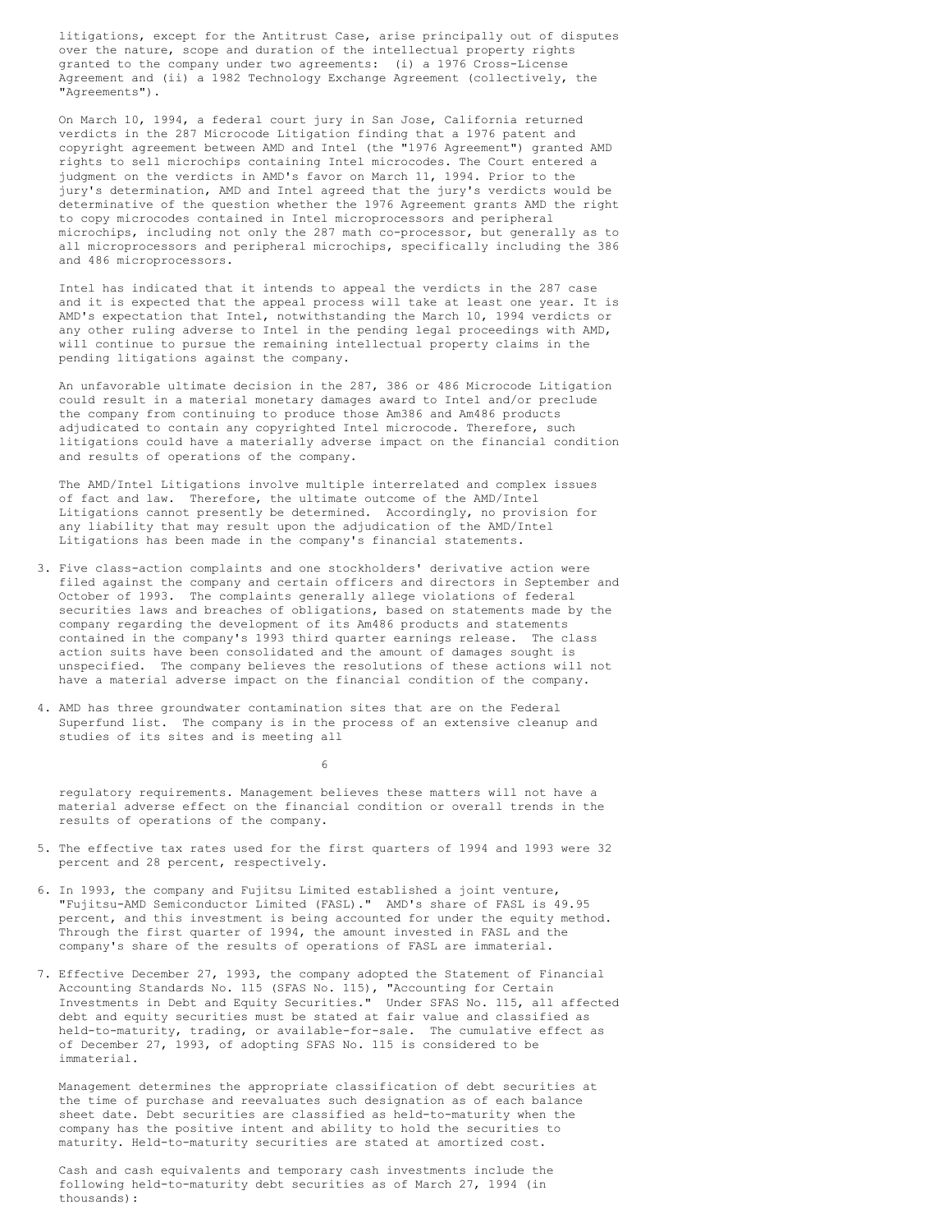litigations, except for the Antitrust Case, arise principally out of disputes over the nature, scope and duration of the intellectual property rights granted to the company under two agreements: (i) a 1976 Cross-License Agreement and (ii) a 1982 Technology Exchange Agreement (collectively, the "Agreements").

 On March 10, 1994, a federal court jury in San Jose, California returned verdicts in the 287 Microcode Litigation finding that a 1976 patent and copyright agreement between AMD and Intel (the "1976 Agreement") granted AMD rights to sell microchips containing Intel microcodes. The Court entered a judgment on the verdicts in AMD's favor on March 11, 1994. Prior to the jury's determination, AMD and Intel agreed that the jury's verdicts would be determinative of the question whether the 1976 Agreement grants AMD the right to copy microcodes contained in Intel microprocessors and peripheral microchips, including not only the 287 math co-processor, but generally as to all microprocessors and peripheral microchips, specifically including the 386 and 486 microprocessors.

 Intel has indicated that it intends to appeal the verdicts in the 287 case and it is expected that the appeal process will take at least one year. It is AMD's expectation that Intel, notwithstanding the March 10, 1994 verdicts or any other ruling adverse to Intel in the pending legal proceedings with AMD, will continue to pursue the remaining intellectual property claims in the pending litigations against the company.

 An unfavorable ultimate decision in the 287, 386 or 486 Microcode Litigation could result in a material monetary damages award to Intel and/or preclude the company from continuing to produce those Am386 and Am486 products adjudicated to contain any copyrighted Intel microcode. Therefore, such litigations could have a materially adverse impact on the financial condition and results of operations of the company.

 The AMD/Intel Litigations involve multiple interrelated and complex issues of fact and law. Therefore, the ultimate outcome of the AMD/Intel Litigations cannot presently be determined. Accordingly, no provision for any liability that may result upon the adjudication of the AMD/Intel Litigations has been made in the company's financial statements.

- 3. Five class-action complaints and one stockholders' derivative action were filed against the company and certain officers and directors in September and October of 1993. The complaints generally allege violations of federal securities laws and breaches of obligations, based on statements made by the company regarding the development of its Am486 products and statements contained in the company's 1993 third quarter earnings release. The class action suits have been consolidated and the amount of damages sought is unspecified. The company believes the resolutions of these actions will not have a material adverse impact on the financial condition of the company.
- 4. AMD has three groundwater contamination sites that are on the Federal Superfund list. The company is in the process of an extensive cleanup and studies of its sites and is meeting all

 $\sim$  6

 regulatory requirements. Management believes these matters will not have a material adverse effect on the financial condition or overall trends in the results of operations of the company.

- 5. The effective tax rates used for the first quarters of 1994 and 1993 were 32 percent and 28 percent, respectively.
- 6. In 1993, the company and Fujitsu Limited established a joint venture, "Fujitsu-AMD Semiconductor Limited (FASL)." AMD's share of FASL is 49.95 percent, and this investment is being accounted for under the equity method. Through the first quarter of 1994, the amount invested in FASL and the company's share of the results of operations of FASL are immaterial.
- 7. Effective December 27, 1993, the company adopted the Statement of Financial Accounting Standards No. 115 (SFAS No. 115), "Accounting for Certain Investments in Debt and Equity Securities." Under SFAS No. 115, all affected debt and equity securities must be stated at fair value and classified as held-to-maturity, trading, or available-for-sale. The cumulative effect as of December 27, 1993, of adopting SFAS No. 115 is considered to be immaterial.

 Management determines the appropriate classification of debt securities at the time of purchase and reevaluates such designation as of each balance sheet date. Debt securities are classified as held-to-maturity when the company has the positive intent and ability to hold the securities to maturity. Held-to-maturity securities are stated at amortized cost.

 Cash and cash equivalents and temporary cash investments include the following held-to-maturity debt securities as of March 27, 1994 (in thousands):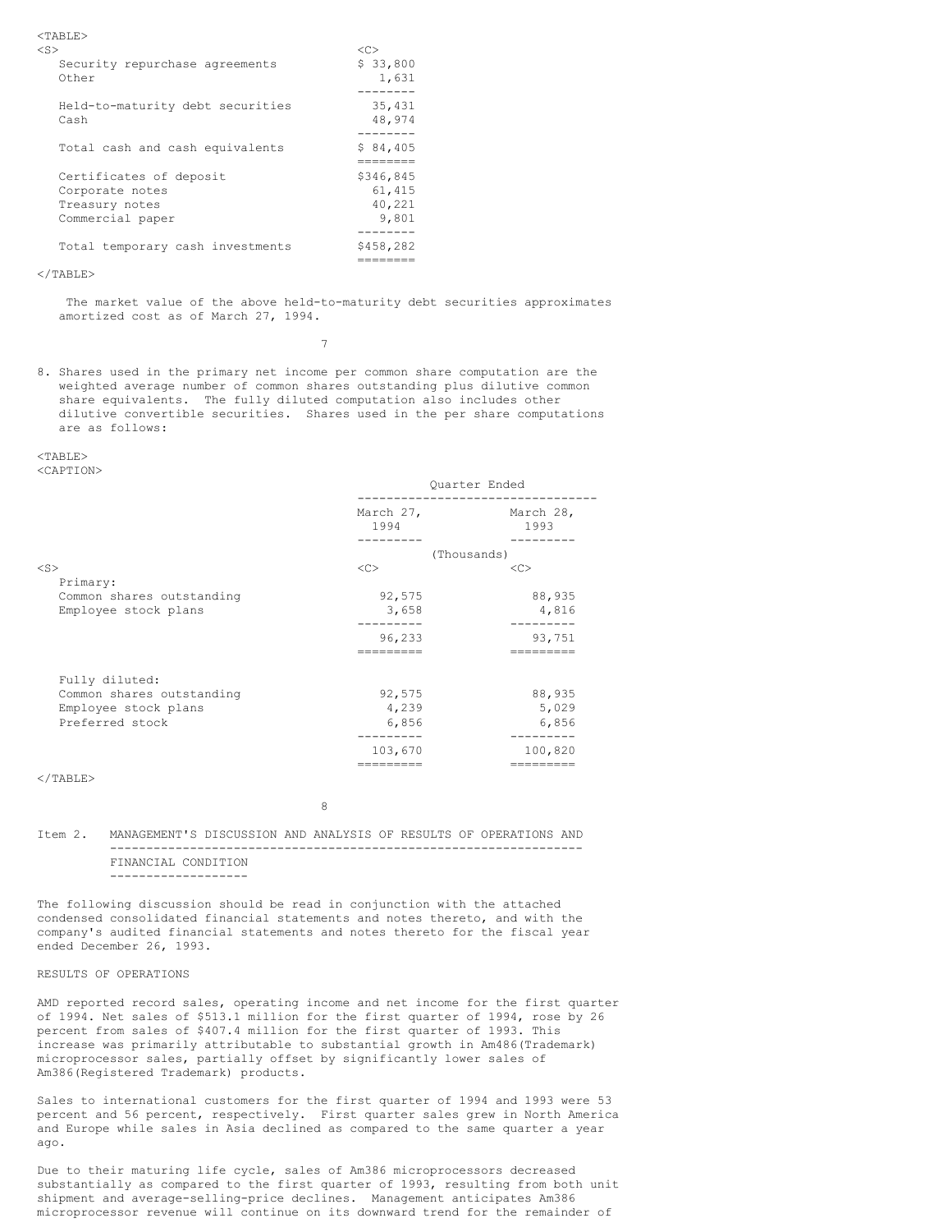<TABLE>

| $<$ S>                                                                           | < <sub></sub>                          |
|----------------------------------------------------------------------------------|----------------------------------------|
| Security repurchase agreements<br>Other                                          | \$33,800<br>1,631                      |
| Held-to-maturity debt securities<br>Cash                                         | 35,431<br>48,974<br>-------            |
| Total cash and cash equivalents                                                  | \$84,405                               |
| Certificates of deposit<br>Corporate notes<br>Treasury notes<br>Commercial paper | \$346,845<br>61,415<br>40,221<br>9,801 |
| Total temporary cash investments                                                 | \$458,282                              |

========

#### $\langle$ /TABLE>

 The market value of the above held-to-maturity debt securities approximates amortized cost as of March 27, 1994.

7

8. Shares used in the primary net income per common share computation are the weighted average number of common shares outstanding plus dilutive common share equivalents. The fully diluted computation also includes other dilutive convertible securities. Shares used in the per share computations are as follows:

# $<$ TABLE>

<CAPTION>

|                           | Quarter Ended     |                         |
|---------------------------|-------------------|-------------------------|
|                           | March 27,<br>1994 | March 28,<br>1993       |
|                           | -------           | --------<br>(Thousands) |
| $<$ S $>$                 | <<                | < <sub></sub>           |
| Primary:                  |                   |                         |
| Common shares outstanding | 92,575            | 88,935                  |
| Employee stock plans      | 3,658             | 4,816                   |
|                           |                   |                         |
|                           | 96,233            | 93,751                  |
|                           |                   |                         |
| Fully diluted:            |                   |                         |
| Common shares outstanding | 92,575            | 88,935                  |
| Employee stock plans      | 4,239             | 5,029                   |
| Preferred stock           | 6,856             | 6,856                   |
|                           | --------          | ---------               |
|                           | 103,670           | 100,820                 |
|                           |                   |                         |

 $\langle$ /TABLE>

8 and 2012 and 2013 and 2014 and 2014 and 2014 and 2014 and 2014 and 2014 and 2014 and 2014 and 2014 and 2014

### Item 2. MANAGEMENT'S DISCUSSION AND ANALYSIS OF RESULTS OF OPERATIONS AND ----------------------------------------------------------------- FINANCIAL CONDITION -------------------

The following discussion should be read in conjunction with the attached condensed consolidated financial statements and notes thereto, and with the company's audited financial statements and notes thereto for the fiscal year ended December 26, 1993.

## RESULTS OF OPERATIONS

AMD reported record sales, operating income and net income for the first quarter of 1994. Net sales of \$513.1 million for the first quarter of 1994, rose by 26 percent from sales of \$407.4 million for the first quarter of 1993. This increase was primarily attributable to substantial growth in Am486(Trademark) microprocessor sales, partially offset by significantly lower sales of Am386(Registered Trademark) products.

Sales to international customers for the first quarter of 1994 and 1993 were 53 percent and 56 percent, respectively. First quarter sales grew in North America and Europe while sales in Asia declined as compared to the same quarter a year ago.

Due to their maturing life cycle, sales of Am386 microprocessors decreased substantially as compared to the first quarter of 1993, resulting from both unit shipment and average-selling-price declines. Management anticipates Am386 microprocessor revenue will continue on its downward trend for the remainder of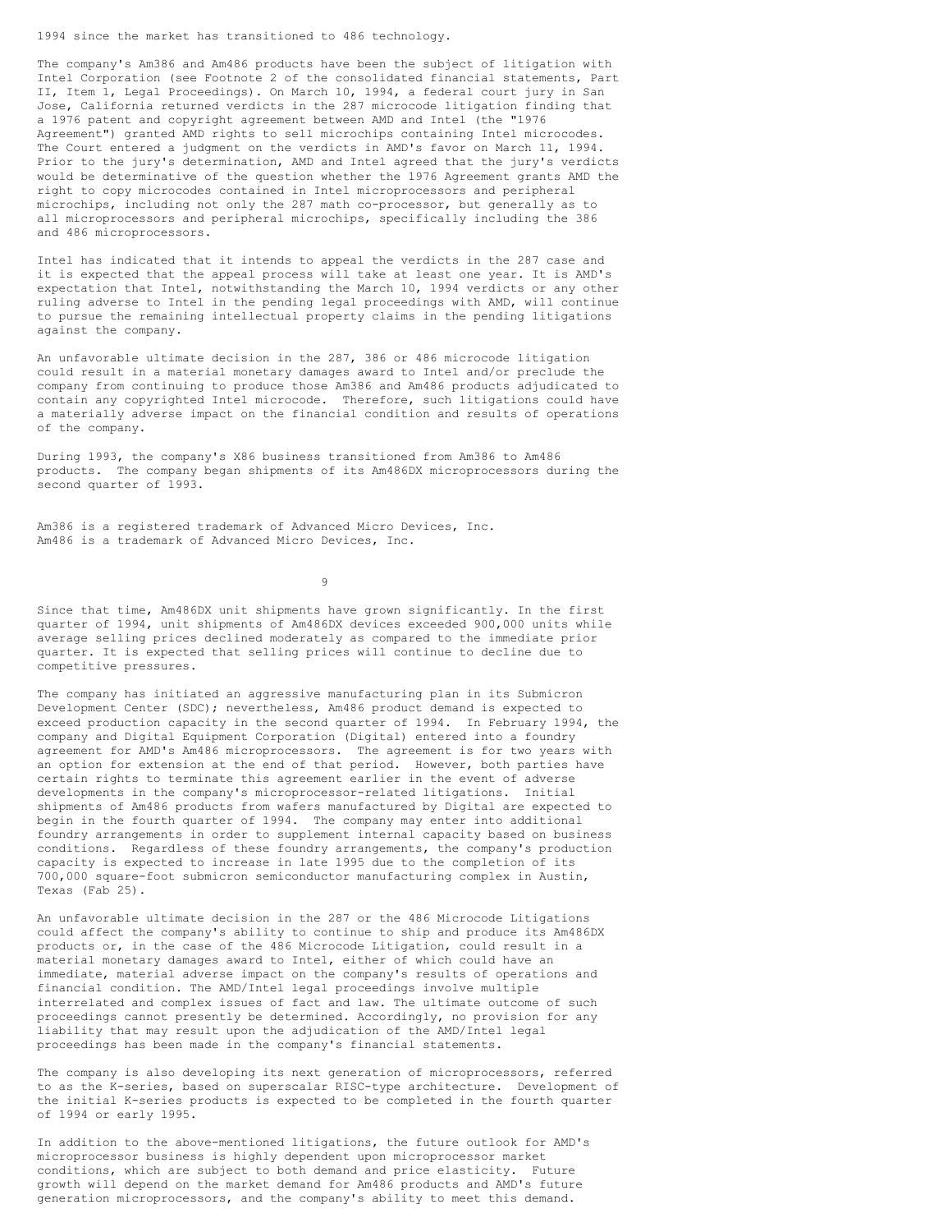1994 since the market has transitioned to 486 technology.

The company's Am386 and Am486 products have been the subject of litigation with Intel Corporation (see Footnote 2 of the consolidated financial statements, Part II, Item 1, Legal Proceedings). On March 10, 1994, a federal court jury in San Jose, California returned verdicts in the 287 microcode litigation finding that a 1976 patent and copyright agreement between AMD and Intel (the "1976 Agreement") granted AMD rights to sell microchips containing Intel microcodes. The Court entered a judgment on the verdicts in AMD's favor on March 11, 1994. Prior to the jury's determination, AMD and Intel agreed that the jury's verdicts would be determinative of the question whether the 1976 Agreement grants AMD the right to copy microcodes contained in Intel microprocessors and peripheral microchips, including not only the 287 math co-processor, but generally as to all microprocessors and peripheral microchips, specifically including the 386 and 486 microprocessors.

Intel has indicated that it intends to appeal the verdicts in the 287 case and it is expected that the appeal process will take at least one year. It is AMD's expectation that Intel, notwithstanding the March 10, 1994 verdicts or any other ruling adverse to Intel in the pending legal proceedings with AMD, will continue to pursue the remaining intellectual property claims in the pending litigations against the company.

An unfavorable ultimate decision in the 287, 386 or 486 microcode litigation could result in a material monetary damages award to Intel and/or preclude the company from continuing to produce those Am386 and Am486 products adjudicated to contain any copyrighted Intel microcode. Therefore, such litigations could have a materially adverse impact on the financial condition and results of operations of the company.

During 1993, the company's X86 business transitioned from Am386 to Am486 products. The company began shipments of its Am486DX microprocessors during the second quarter of 1993.

Am386 is a registered trademark of Advanced Micro Devices, Inc. Am486 is a trademark of Advanced Micro Devices, Inc.

9

Since that time, Am486DX unit shipments have grown significantly. In the first quarter of 1994, unit shipments of Am486DX devices exceeded 900,000 units while average selling prices declined moderately as compared to the immediate prior quarter. It is expected that selling prices will continue to decline due to competitive pressures.

The company has initiated an aggressive manufacturing plan in its Submicron Development Center (SDC); nevertheless, Am486 product demand is expected to exceed production capacity in the second quarter of 1994. In February 1994, the company and Digital Equipment Corporation (Digital) entered into a foundry agreement for AMD's Am486 microprocessors. The agreement is for two years with an option for extension at the end of that period. However, both parties have certain rights to terminate this agreement earlier in the event of adverse developments in the company's microprocessor-related litigations. Initial shipments of Am486 products from wafers manufactured by Digital are expected to begin in the fourth quarter of 1994. The company may enter into additional foundry arrangements in order to supplement internal capacity based on business conditions. Regardless of these foundry arrangements, the company's production capacity is expected to increase in late 1995 due to the completion of its 700,000 square-foot submicron semiconductor manufacturing complex in Austin, Texas (Fab 25).

An unfavorable ultimate decision in the 287 or the 486 Microcode Litigations could affect the company's ability to continue to ship and produce its Am486DX products or, in the case of the 486 Microcode Litigation, could result in a material monetary damages award to Intel, either of which could have an immediate, material adverse impact on the company's results of operations and financial condition. The AMD/Intel legal proceedings involve multiple interrelated and complex issues of fact and law. The ultimate outcome of such proceedings cannot presently be determined. Accordingly, no provision for any liability that may result upon the adjudication of the AMD/Intel legal proceedings has been made in the company's financial statements.

The company is also developing its next generation of microprocessors, referred to as the K-series, based on superscalar RISC-type architecture. Development of the initial K-series products is expected to be completed in the fourth quarter of 1994 or early 1995.

In addition to the above-mentioned litigations, the future outlook for AMD's microprocessor business is highly dependent upon microprocessor market conditions, which are subject to both demand and price elasticity. Future growth will depend on the market demand for Am486 products and AMD's future generation microprocessors, and the company's ability to meet this demand.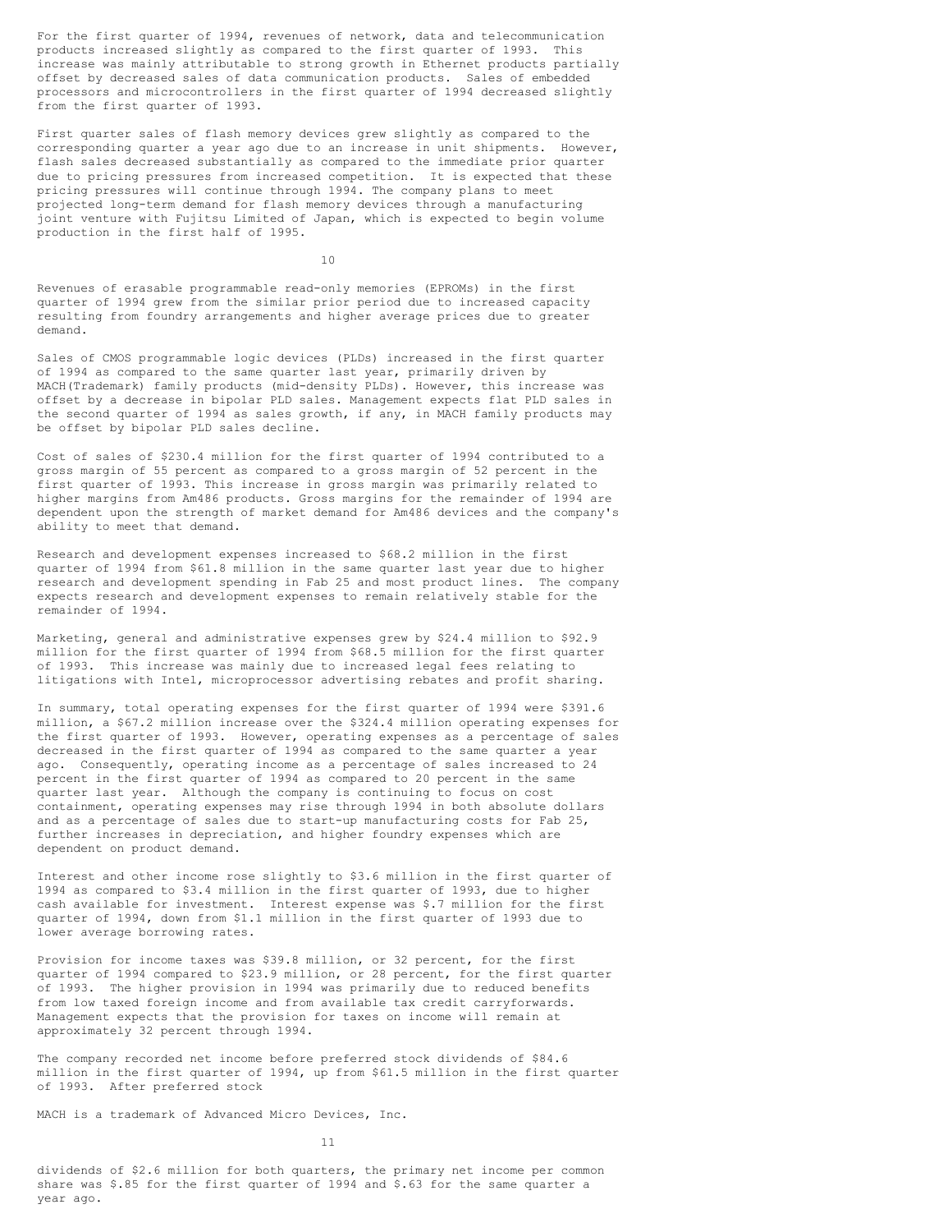For the first quarter of 1994, revenues of network, data and telecommunication products increased slightly as compared to the first quarter of 1993. This increase was mainly attributable to strong growth in Ethernet products partially offset by decreased sales of data communication products. Sales of embedded processors and microcontrollers in the first quarter of 1994 decreased slightly from the first quarter of 1993.

First quarter sales of flash memory devices grew slightly as compared to the corresponding quarter a year ago due to an increase in unit shipments. However, flash sales decreased substantially as compared to the immediate prior quarter due to pricing pressures from increased competition. It is expected that these pricing pressures will continue through 1994. The company plans to meet projected long-term demand for flash memory devices through a manufacturing joint venture with Fujitsu Limited of Japan, which is expected to begin volume production in the first half of 1995.

10

Revenues of erasable programmable read-only memories (EPROMs) in the first quarter of 1994 grew from the similar prior period due to increased capacity resulting from foundry arrangements and higher average prices due to greater demand.

Sales of CMOS programmable logic devices (PLDs) increased in the first quarter of 1994 as compared to the same quarter last year, primarily driven by MACH(Trademark) family products (mid-density PLDs). However, this increase was offset by a decrease in bipolar PLD sales. Management expects flat PLD sales in the second quarter of 1994 as sales growth, if any, in MACH family products may be offset by bipolar PLD sales decline.

Cost of sales of \$230.4 million for the first quarter of 1994 contributed to a gross margin of 55 percent as compared to a gross margin of 52 percent in the first quarter of 1993. This increase in gross margin was primarily related to higher margins from Am486 products. Gross margins for the remainder of 1994 are dependent upon the strength of market demand for Am486 devices and the company's ability to meet that demand.

Research and development expenses increased to \$68.2 million in the first quarter of 1994 from \$61.8 million in the same quarter last year due to higher research and development spending in Fab 25 and most product lines. The company expects research and development expenses to remain relatively stable for the remainder of 1994.

Marketing, general and administrative expenses grew by \$24.4 million to \$92.9 million for the first quarter of 1994 from \$68.5 million for the first quarter of 1993. This increase was mainly due to increased legal fees relating to litigations with Intel, microprocessor advertising rebates and profit sharing.

In summary, total operating expenses for the first quarter of 1994 were \$391.6 million, a \$67.2 million increase over the \$324.4 million operating expenses for the first quarter of 1993. However, operating expenses as a percentage of sales decreased in the first quarter of 1994 as compared to the same quarter a year ago. Consequently, operating income as a percentage of sales increased to 24 percent in the first quarter of 1994 as compared to 20 percent in the same quarter last year. Although the company is continuing to focus on cost containment, operating expenses may rise through 1994 in both absolute dollars and as a percentage of sales due to start-up manufacturing costs for Fab 25, further increases in depreciation, and higher foundry expenses which are dependent on product demand.

Interest and other income rose slightly to \$3.6 million in the first quarter of 1994 as compared to \$3.4 million in the first quarter of 1993, due to higher cash available for investment. Interest expense was \$.7 million for the first quarter of 1994, down from \$1.1 million in the first quarter of 1993 due to lower average borrowing rates.

Provision for income taxes was \$39.8 million, or 32 percent, for the first quarter of 1994 compared to \$23.9 million, or 28 percent, for the first quarter of 1993. The higher provision in 1994 was primarily due to reduced benefits from low taxed foreign income and from available tax credit carryforwards. Management expects that the provision for taxes on income will remain at approximately 32 percent through 1994.

The company recorded net income before preferred stock dividends of \$84.6 million in the first quarter of 1994, up from \$61.5 million in the first quarter of 1993. After preferred stock

MACH is a trademark of Advanced Micro Devices, Inc.

 $11$ 

dividends of \$2.6 million for both quarters, the primary net income per common share was \$.85 for the first quarter of 1994 and \$.63 for the same quarter a year ago.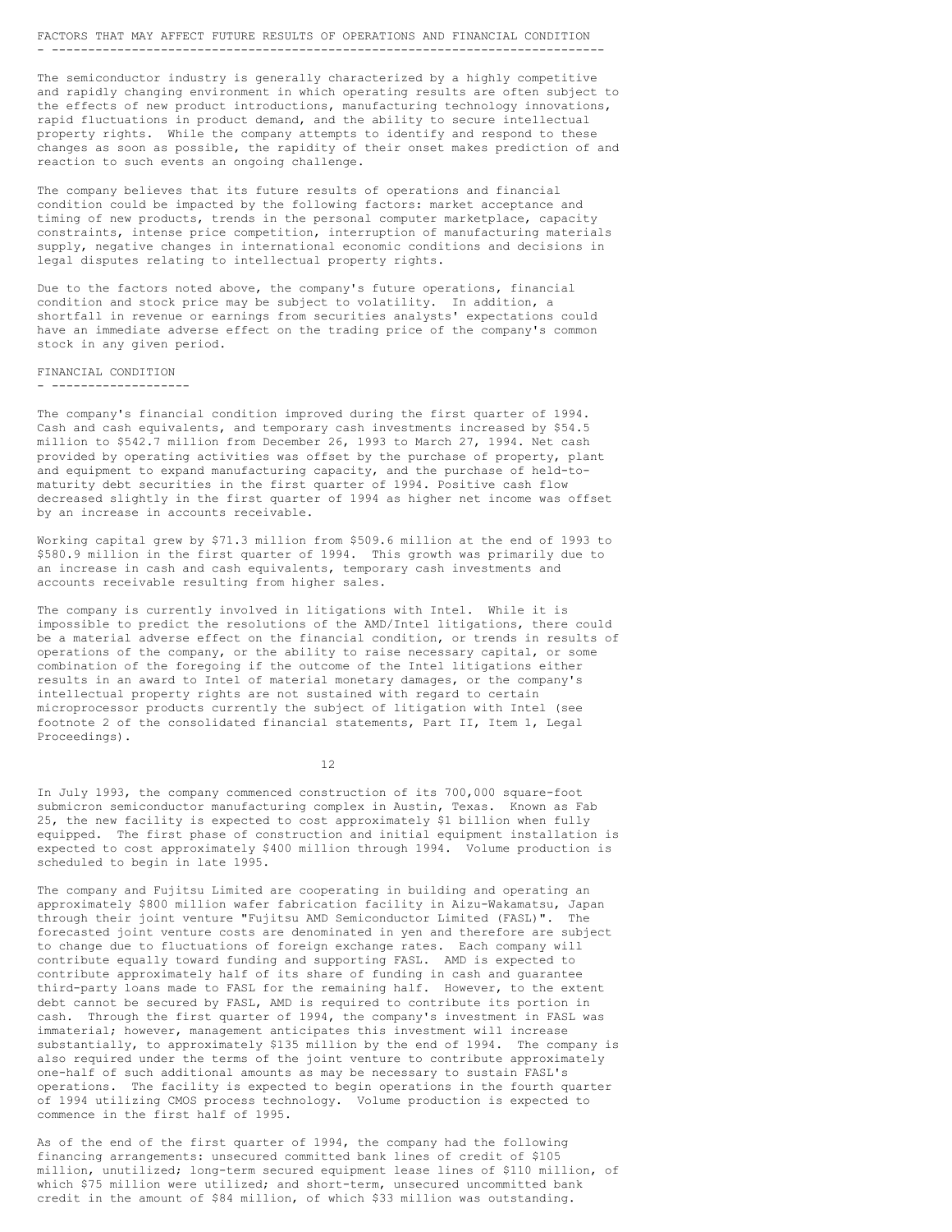## FACTORS THAT MAY AFFECT FUTURE RESULTS OF OPERATIONS AND FINANCIAL CONDITION - ----------------------------------------------------------------------------

The semiconductor industry is generally characterized by a highly competitive and rapidly changing environment in which operating results are often subject to the effects of new product introductions, manufacturing technology innovations, rapid fluctuations in product demand, and the ability to secure intellectual property rights. While the company attempts to identify and respond to these changes as soon as possible, the rapidity of their onset makes prediction of and reaction to such events an ongoing challenge.

The company believes that its future results of operations and financial condition could be impacted by the following factors: market acceptance and timing of new products, trends in the personal computer marketplace, capacity constraints, intense price competition, interruption of manufacturing materials supply, negative changes in international economic conditions and decisions in legal disputes relating to intellectual property rights.

Due to the factors noted above, the company's future operations, financial condition and stock price may be subject to volatility. In addition, a shortfall in revenue or earnings from securities analysts' expectations could have an immediate adverse effect on the trading price of the company's common stock in any given period.

#### FINANCIAL CONDITION

- -------------------

The company's financial condition improved during the first quarter of 1994. Cash and cash equivalents, and temporary cash investments increased by \$54.5 million to \$542.7 million from December 26, 1993 to March 27, 1994. Net cash provided by operating activities was offset by the purchase of property, plant and equipment to expand manufacturing capacity, and the purchase of held-tomaturity debt securities in the first quarter of 1994. Positive cash flow decreased slightly in the first quarter of 1994 as higher net income was offset by an increase in accounts receivable.

Working capital grew by \$71.3 million from \$509.6 million at the end of 1993 to \$580.9 million in the first quarter of 1994. This growth was primarily due to an increase in cash and cash equivalents, temporary cash investments and accounts receivable resulting from higher sales.

The company is currently involved in litigations with Intel. While it is impossible to predict the resolutions of the AMD/Intel litigations, there could be a material adverse effect on the financial condition, or trends in results of operations of the company, or the ability to raise necessary capital, or some combination of the foregoing if the outcome of the Intel litigations either results in an award to Intel of material monetary damages, or the company's intellectual property rights are not sustained with regard to certain microprocessor products currently the subject of litigation with Intel (see footnote 2 of the consolidated financial statements, Part II, Item 1, Legal Proceedings).

12

In July 1993, the company commenced construction of its 700,000 square-foot submicron semiconductor manufacturing complex in Austin, Texas. Known as Fab 25, the new facility is expected to cost approximately \$1 billion when fully equipped. The first phase of construction and initial equipment installation is expected to cost approximately \$400 million through 1994. Volume production is scheduled to begin in late 1995.

The company and Fujitsu Limited are cooperating in building and operating an approximately \$800 million wafer fabrication facility in Aizu-Wakamatsu, Japan through their joint venture "Fujitsu AMD Semiconductor Limited (FASL)". The forecasted joint venture costs are denominated in yen and therefore are subject to change due to fluctuations of foreign exchange rates. Each company will contribute equally toward funding and supporting FASL. AMD is expected to contribute approximately half of its share of funding in cash and guarantee third-party loans made to FASL for the remaining half. However, to the extent debt cannot be secured by FASL, AMD is required to contribute its portion in cash. Through the first quarter of 1994, the company's investment in FASL was immaterial; however, management anticipates this investment will increase substantially, to approximately \$135 million by the end of 1994. The company is also required under the terms of the joint venture to contribute approximately one-half of such additional amounts as may be necessary to sustain FASL's operations. The facility is expected to begin operations in the fourth quarter of 1994 utilizing CMOS process technology. Volume production is expected to commence in the first half of 1995.

As of the end of the first quarter of 1994, the company had the following financing arrangements: unsecured committed bank lines of credit of \$105 million, unutilized; long-term secured equipment lease lines of \$110 million, of which \$75 million were utilized; and short-term, unsecured uncommitted bank credit in the amount of \$84 million, of which \$33 million was outstanding.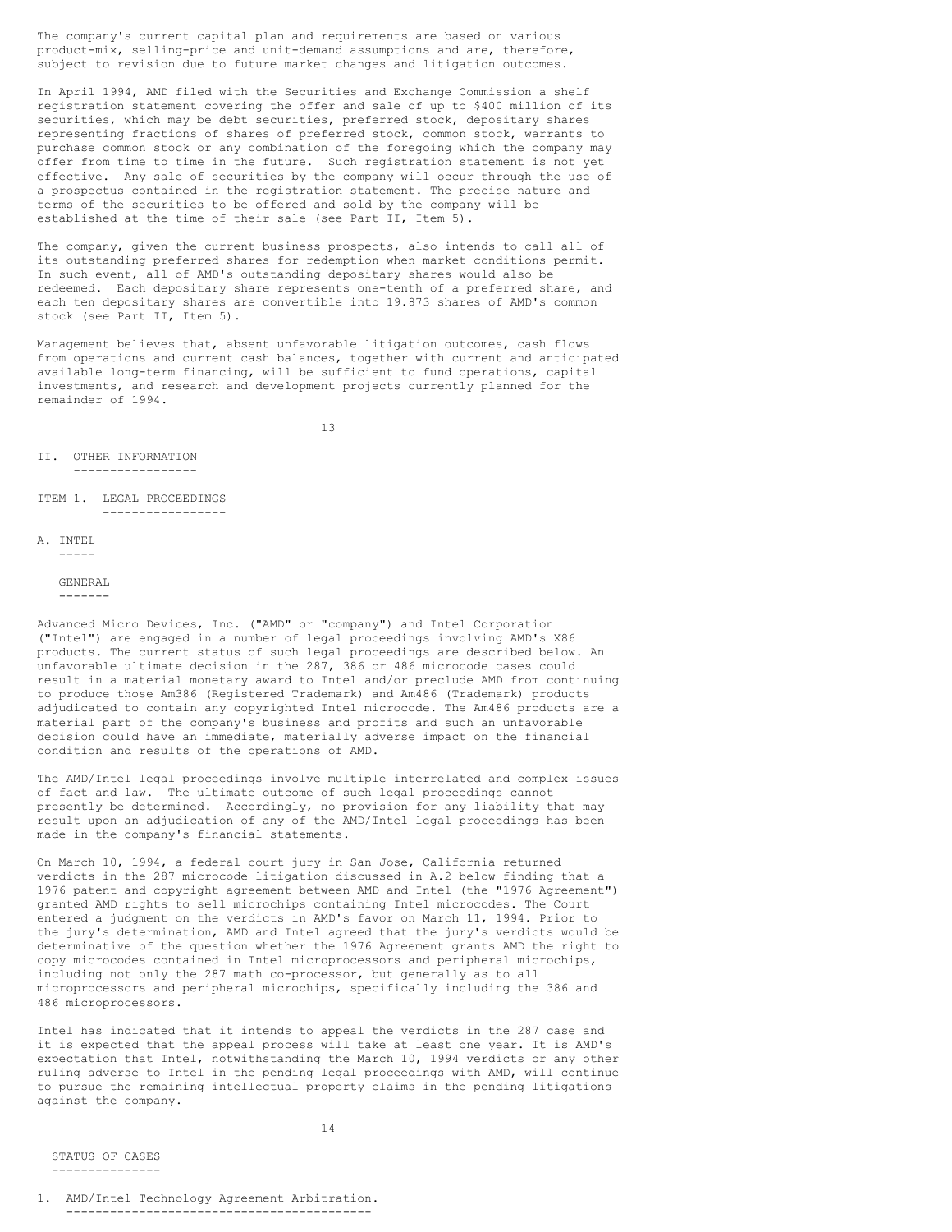The company's current capital plan and requirements are based on various product-mix, selling-price and unit-demand assumptions and are, therefore, subject to revision due to future market changes and litigation outcomes.

In April 1994, AMD filed with the Securities and Exchange Commission a shelf registration statement covering the offer and sale of up to \$400 million of its securities, which may be debt securities, preferred stock, depositary shares representing fractions of shares of preferred stock, common stock, warrants to purchase common stock or any combination of the foregoing which the company may offer from time to time in the future. Such registration statement is not yet effective. Any sale of securities by the company will occur through the use of a prospectus contained in the registration statement. The precise nature and terms of the securities to be offered and sold by the company will be established at the time of their sale (see Part II, Item 5).

The company, given the current business prospects, also intends to call all of its outstanding preferred shares for redemption when market conditions permit. In such event, all of AMD's outstanding depositary shares would also be redeemed. Each depositary share represents one-tenth of a preferred share, and each ten depositary shares are convertible into 19.873 shares of AMD's common stock (see Part II, Item 5).

Management believes that, absent unfavorable litigation outcomes, cash flows from operations and current cash balances, together with current and anticipated available long-term financing, will be sufficient to fund operations, capital investments, and research and development projects currently planned for the remainder of 1994.

13

II. OTHER INFORMATION

-----------------

ITEM 1. LEGAL PROCEEDINGS -----------------

```
A. INTEL
    -----
```
#### GENERAL

-------

Advanced Micro Devices, Inc. ("AMD" or "company") and Intel Corporation ("Intel") are engaged in a number of legal proceedings involving AMD's X86 products. The current status of such legal proceedings are described below. An unfavorable ultimate decision in the 287, 386 or 486 microcode cases could result in a material monetary award to Intel and/or preclude AMD from continuing to produce those Am386 (Registered Trademark) and Am486 (Trademark) products adjudicated to contain any copyrighted Intel microcode. The Am486 products are a material part of the company's business and profits and such an unfavorable decision could have an immediate, materially adverse impact on the financial condition and results of the operations of AMD.

The AMD/Intel legal proceedings involve multiple interrelated and complex issues of fact and law. The ultimate outcome of such legal proceedings cannot presently be determined. Accordingly, no provision for any liability that may result upon an adjudication of any of the AMD/Intel legal proceedings has been made in the company's financial statements.

On March 10, 1994, a federal court jury in San Jose, California returned verdicts in the 287 microcode litigation discussed in A.2 below finding that a 1976 patent and copyright agreement between AMD and Intel (the "1976 Agreement") granted AMD rights to sell microchips containing Intel microcodes. The Court entered a judgment on the verdicts in AMD's favor on March 11, 1994. Prior to the jury's determination, AMD and Intel agreed that the jury's verdicts would be determinative of the question whether the 1976 Agreement grants AMD the right to copy microcodes contained in Intel microprocessors and peripheral microchips, including not only the 287 math co-processor, but generally as to all microprocessors and peripheral microchips, specifically including the 386 and 486 microprocessors.

Intel has indicated that it intends to appeal the verdicts in the 287 case and it is expected that the appeal process will take at least one year. It is AMD's expectation that Intel, notwithstanding the March 10, 1994 verdicts or any other ruling adverse to Intel in the pending legal proceedings with AMD, will continue to pursue the remaining intellectual property claims in the pending litigations against the company.

STATUS OF CASES ---------------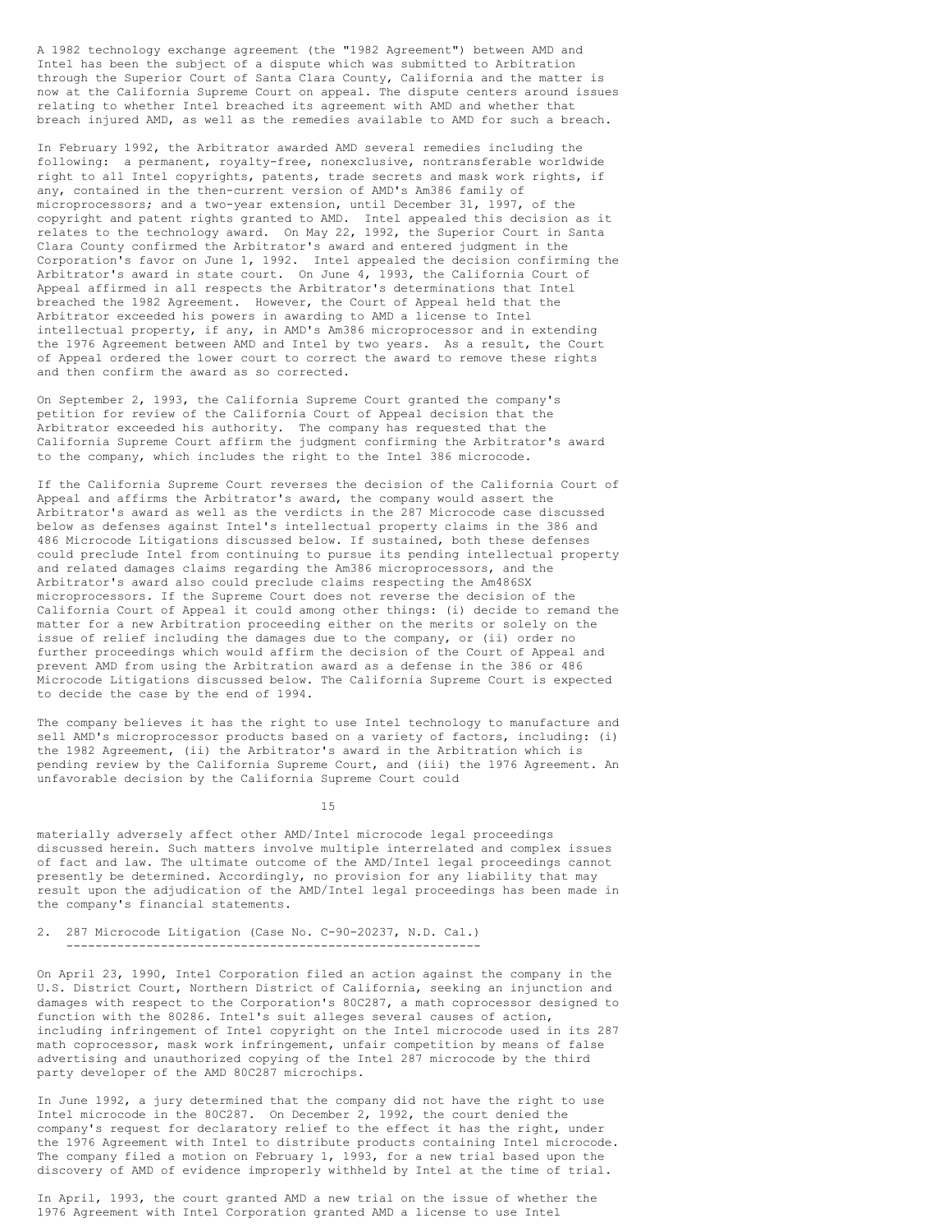A 1982 technology exchange agreement (the "1982 Agreement") between AMD and Intel has been the subject of a dispute which was submitted to Arbitration through the Superior Court of Santa Clara County, California and the matter is now at the California Supreme Court on appeal. The dispute centers around issues relating to whether Intel breached its agreement with AMD and whether that breach injured AMD, as well as the remedies available to AMD for such a breach.

In February 1992, the Arbitrator awarded AMD several remedies including the following: a permanent, royalty-free, nonexclusive, nontransferable worldwide right to all Intel copyrights, patents, trade secrets and mask work rights, if any, contained in the then-current version of AMD's Am386 family of microprocessors; and a two-year extension, until December 31, 1997, of the copyright and patent rights granted to AMD. Intel appealed this decision as it relates to the technology award. On May 22, 1992, the Superior Court in Santa Clara County confirmed the Arbitrator's award and entered judgment in the Corporation's favor on June 1, 1992. Intel appealed the decision confirming the Arbitrator's award in state court. On June 4, 1993, the California Court of Appeal affirmed in all respects the Arbitrator's determinations that Intel breached the 1982 Agreement. However, the Court of Appeal held that the Arbitrator exceeded his powers in awarding to AMD a license to Intel intellectual property, if any, in AMD's Am386 microprocessor and in extending the 1976 Agreement between AMD and Intel by two years. As a result, the Court of Appeal ordered the lower court to correct the award to remove these rights and then confirm the award as so corrected.

On September 2, 1993, the California Supreme Court granted the company's petition for review of the California Court of Appeal decision that the Arbitrator exceeded his authority. The company has requested that the California Supreme Court affirm the judgment confirming the Arbitrator's award to the company, which includes the right to the Intel 386 microcode.

If the California Supreme Court reverses the decision of the California Court of Appeal and affirms the Arbitrator's award, the company would assert the Arbitrator's award as well as the verdicts in the 287 Microcode case discussed below as defenses against Intel's intellectual property claims in the 386 and 486 Microcode Litigations discussed below. If sustained, both these defenses could preclude Intel from continuing to pursue its pending intellectual property and related damages claims regarding the Am386 microprocessors, and the Arbitrator's award also could preclude claims respecting the Am486SX microprocessors. If the Supreme Court does not reverse the decision of the California Court of Appeal it could among other things: (i) decide to remand the matter for a new Arbitration proceeding either on the merits or solely on the issue of relief including the damages due to the company, or (ii) order no further proceedings which would affirm the decision of the Court of Appeal and prevent AMD from using the Arbitration award as a defense in the 386 or 486 Microcode Litigations discussed below. The California Supreme Court is expected to decide the case by the end of 1994.

The company believes it has the right to use Intel technology to manufacture and sell AMD's microprocessor products based on a variety of factors, including: (i) the 1982 Agreement, (ii) the Arbitrator's award in the Arbitration which is pending review by the California Supreme Court, and (iii) the 1976 Agreement. An unfavorable decision by the California Supreme Court could

15

materially adversely affect other AMD/Intel microcode legal proceedings discussed herein. Such matters involve multiple interrelated and complex issues of fact and law. The ultimate outcome of the AMD/Intel legal proceedings cannot presently be determined. Accordingly, no provision for any liability that may result upon the adjudication of the AMD/Intel legal proceedings has been made in the company's financial statements.

2. 287 Microcode Litigation (Case No. C-90-20237, N.D. Cal.) ---------------------------------------------------------

On April 23, 1990, Intel Corporation filed an action against the company in the U.S. District Court, Northern District of California, seeking an injunction and damages with respect to the Corporation's 80C287, a math coprocessor designed to function with the 80286. Intel's suit alleges several causes of action, including infringement of Intel copyright on the Intel microcode used in its 287 math coprocessor, mask work infringement, unfair competition by means of false advertising and unauthorized copying of the Intel 287 microcode by the third party developer of the AMD 80C287 microchips.

In June 1992, a jury determined that the company did not have the right to use Intel microcode in the 80C287. On December 2, 1992, the court denied the company's request for declaratory relief to the effect it has the right, under the 1976 Agreement with Intel to distribute products containing Intel microcode. The company filed a motion on February 1, 1993, for a new trial based upon the discovery of AMD of evidence improperly withheld by Intel at the time of trial.

In April, 1993, the court granted AMD a new trial on the issue of whether the 1976 Agreement with Intel Corporation granted AMD a license to use Intel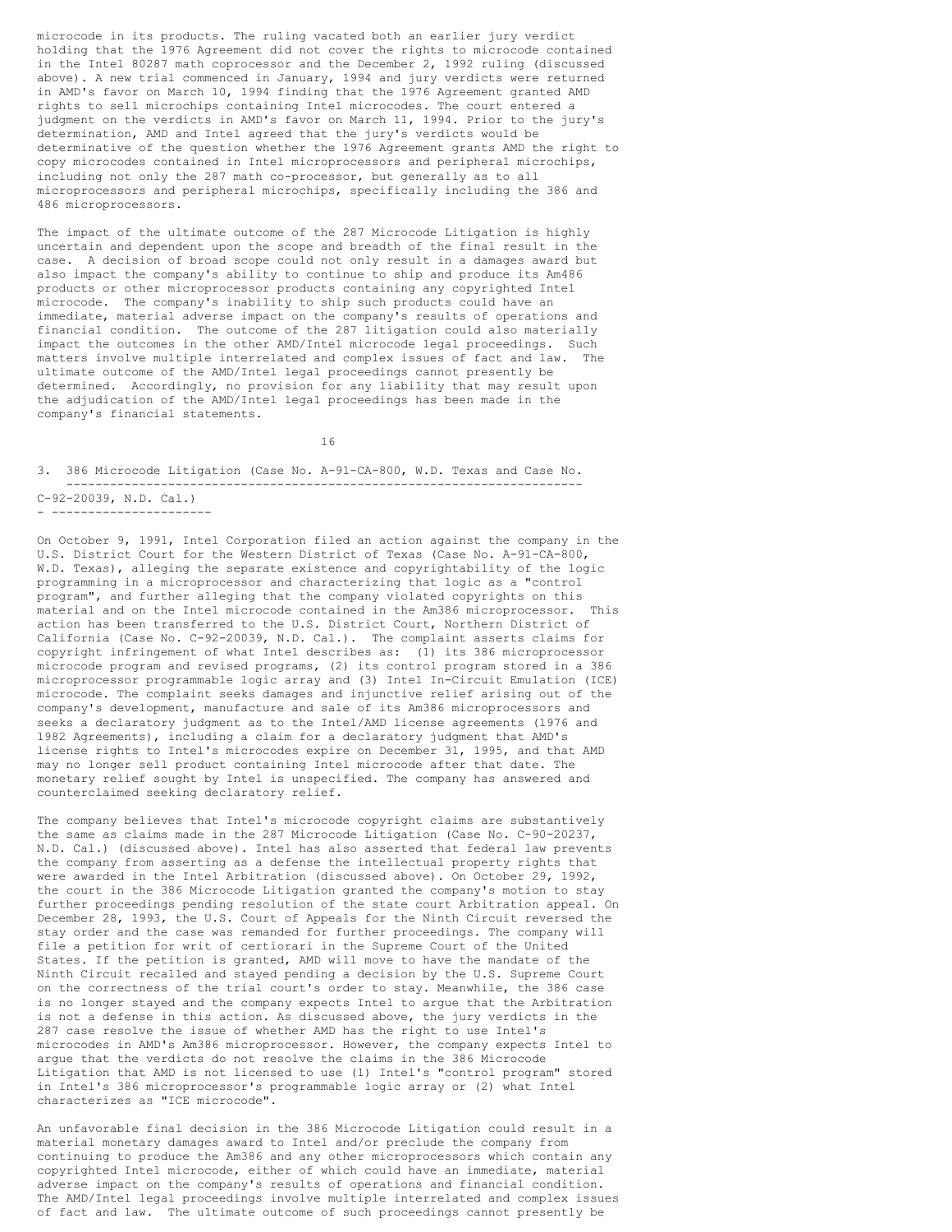microcode in its products. The ruling vacated both an earlier jury verdict holding that the 1976 Agreement did not cover the rights to microcode contained in the Intel 80287 math coprocessor and the December 2, 1992 ruling (discussed above). A new trial commenced in January, 1994 and jury verdicts were returned in AMD's favor on March 10, 1994 finding that the 1976 Agreement granted AMD rights to sell microchips containing Intel microcodes. The court entered a judgment on the verdicts in AMD's favor on March 11, 1994. Prior to the jury's determination, AMD and Intel agreed that the jury's verdicts would be determinative of the question whether the 1976 Agreement grants AMD the right to copy microcodes contained in Intel microprocessors and peripheral microchips, including not only the 287 math co-processor, but generally as to all microprocessors and peripheral microchips, specifically including the 386 and 486 microprocessors.

The impact of the ultimate outcome of the 287 Microcode Litigation is highly uncertain and dependent upon the scope and breadth of the final result in the case. A decision of broad scope could not only result in a damages award but also impact the company's ability to continue to ship and produce its Am486 products or other microprocessor products containing any copyrighted Intel microcode. The company's inability to ship such products could have an immediate, material adverse impact on the company's results of operations and financial condition. The outcome of the 287 litigation could also materially impact the outcomes in the other AMD/Intel microcode legal proceedings. Such matters involve multiple interrelated and complex issues of fact and law. The ultimate outcome of the AMD/Intel legal proceedings cannot presently be determined. Accordingly, no provision for any liability that may result upon the adjudication of the AMD/Intel legal proceedings has been made in the company's financial statements.

16

3. 386 Microcode Litigation (Case No. A-91-CA-800, W.D. Texas and Case No. ----------------------------------------------------------------------- C-92-20039, N.D. Cal.) - ----------------------

On October 9, 1991, Intel Corporation filed an action against the company in the U.S. District Court for the Western District of Texas (Case No. A-91-CA-800, W.D. Texas), alleging the separate existence and copyrightability of the logic programming in a microprocessor and characterizing that logic as a "control program", and further alleging that the company violated copyrights on this material and on the Intel microcode contained in the Am386 microprocessor. This action has been transferred to the U.S. District Court, Northern District of California (Case No. C-92-20039, N.D. Cal.). The complaint asserts claims for copyright infringement of what Intel describes as: (1) its 386 microprocessor microcode program and revised programs, (2) its control program stored in a 386 microprocessor programmable logic array and (3) Intel In-Circuit Emulation (ICE) microcode. The complaint seeks damages and injunctive relief arising out of the company's development, manufacture and sale of its Am386 microprocessors and seeks a declaratory judgment as to the Intel/AMD license agreements (1976 and 1982 Agreements), including a claim for a declaratory judgment that AMD's license rights to Intel's microcodes expire on December 31, 1995, and that AMD may no longer sell product containing Intel microcode after that date. The monetary relief sought by Intel is unspecified. The company has answered and counterclaimed seeking declaratory relief.

The company believes that Intel's microcode copyright claims are substantively the same as claims made in the 287 Microcode Litigation (Case No. C-90-20237, N.D. Cal.) (discussed above). Intel has also asserted that federal law prevents the company from asserting as a defense the intellectual property rights that were awarded in the Intel Arbitration (discussed above). On October 29, 1992, the court in the 386 Microcode Litigation granted the company's motion to stay further proceedings pending resolution of the state court Arbitration appeal. On December 28, 1993, the U.S. Court of Appeals for the Ninth Circuit reversed the stay order and the case was remanded for further proceedings. The company will file a petition for writ of certiorari in the Supreme Court of the United States. If the petition is granted, AMD will move to have the mandate of the Ninth Circuit recalled and stayed pending a decision by the U.S. Supreme Court on the correctness of the trial court's order to stay. Meanwhile, the 386 case is no longer stayed and the company expects Intel to argue that the Arbitration is not a defense in this action. As discussed above, the jury verdicts in the 287 case resolve the issue of whether AMD has the right to use Intel's microcodes in AMD's Am386 microprocessor. However, the company expects Intel to argue that the verdicts do not resolve the claims in the 386 Microcode Litigation that AMD is not licensed to use (1) Intel's "control program" stored in Intel's 386 microprocessor's programmable logic array or (2) what Intel characterizes as "ICE microcode".

An unfavorable final decision in the 386 Microcode Litigation could result in a material monetary damages award to Intel and/or preclude the company from continuing to produce the Am386 and any other microprocessors which contain any copyrighted Intel microcode, either of which could have an immediate, material adverse impact on the company's results of operations and financial condition. The AMD/Intel legal proceedings involve multiple interrelated and complex issues of fact and law. The ultimate outcome of such proceedings cannot presently be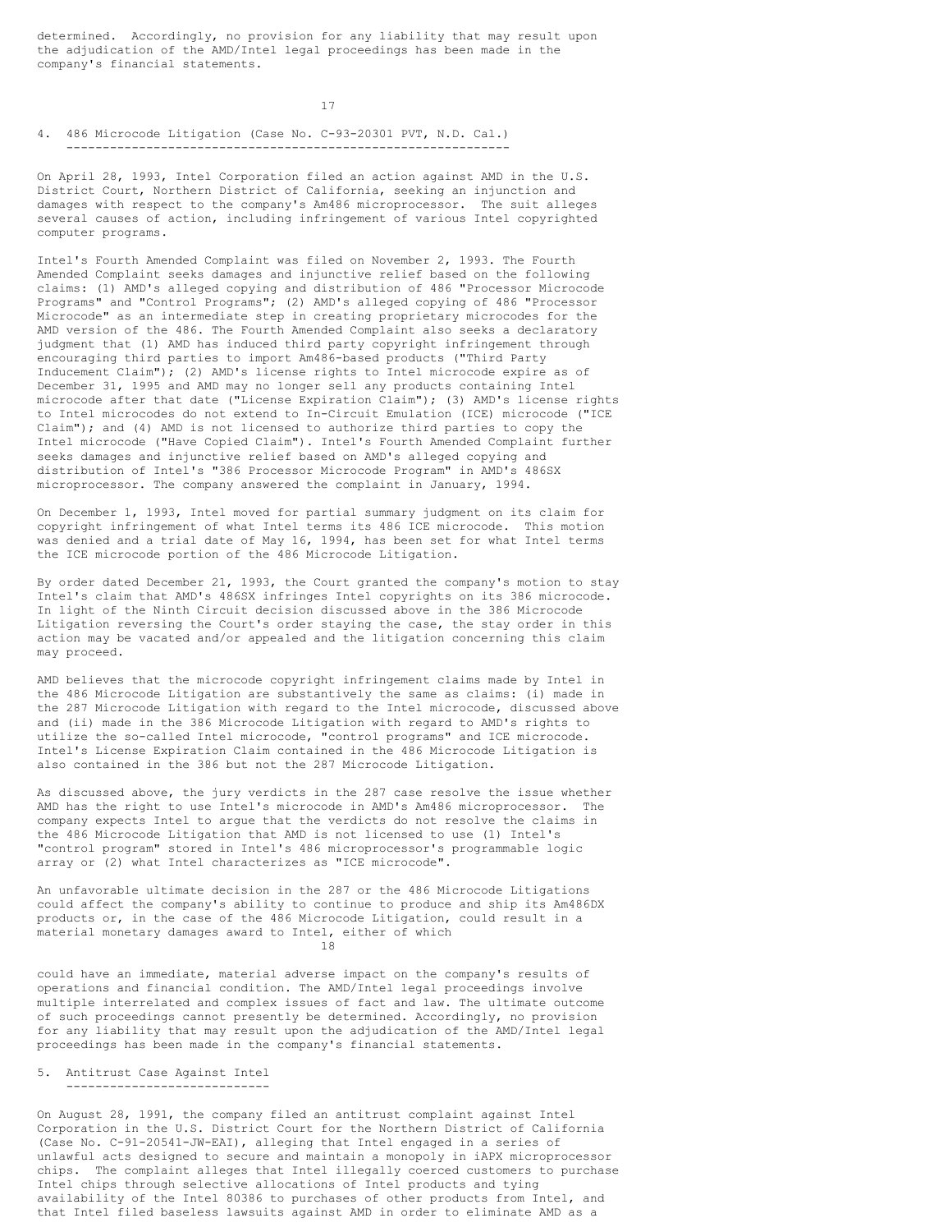determined. Accordingly, no provision for any liability that may result upon the adjudication of the AMD/Intel legal proceedings has been made in the company's financial statements.

17

## 4. 486 Microcode Litigation (Case No. C-93-20301 PVT, N.D. Cal.) -------------------------------------------------------------

On April 28, 1993, Intel Corporation filed an action against AMD in the U.S. District Court, Northern District of California, seeking an injunction and damages with respect to the company's Am486 microprocessor. The suit alleges several causes of action, including infringement of various Intel copyrighted computer programs.

Intel's Fourth Amended Complaint was filed on November 2, 1993. The Fourth Amended Complaint seeks damages and injunctive relief based on the following claims: (1) AMD's alleged copying and distribution of 486 "Processor Microcode Programs" and "Control Programs"; (2) AMD's alleged copying of 486 "Processor Microcode" as an intermediate step in creating proprietary microcodes for the AMD version of the 486. The Fourth Amended Complaint also seeks a declaratory judgment that (1) AMD has induced third party copyright infringement through encouraging third parties to import Am486-based products ("Third Party Inducement Claim"); (2) AMD's license rights to Intel microcode expire as of December 31, 1995 and AMD may no longer sell any products containing Intel microcode after that date ("License Expiration Claim"); (3) AMD's license rights to Intel microcodes do not extend to In-Circuit Emulation (ICE) microcode ("ICE Claim"); and (4) AMD is not licensed to authorize third parties to copy the Intel microcode ("Have Copied Claim"). Intel's Fourth Amended Complaint further seeks damages and injunctive relief based on AMD's alleged copying and distribution of Intel's "386 Processor Microcode Program" in AMD's 486SX microprocessor. The company answered the complaint in January, 1994.

On December 1, 1993, Intel moved for partial summary judgment on its claim for copyright infringement of what Intel terms its 486 ICE microcode. This motion was denied and a trial date of May 16, 1994, has been set for what Intel terms the ICE microcode portion of the 486 Microcode Litigation.

By order dated December 21, 1993, the Court granted the company's motion to stay Intel's claim that AMD's 486SX infringes Intel copyrights on its 386 microcode. In light of the Ninth Circuit decision discussed above in the 386 Microcode Litigation reversing the Court's order staying the case, the stay order in this action may be vacated and/or appealed and the litigation concerning this claim may proceed.

AMD believes that the microcode copyright infringement claims made by Intel in the 486 Microcode Litigation are substantively the same as claims: (i) made in the 287 Microcode Litigation with regard to the Intel microcode, discussed above and (ii) made in the 386 Microcode Litigation with regard to AMD's rights to utilize the so-called Intel microcode, "control programs" and ICE microcode. Intel's License Expiration Claim contained in the 486 Microcode Litigation is also contained in the 386 but not the 287 Microcode Litigation.

As discussed above, the jury verdicts in the 287 case resolve the issue whether AMD has the right to use Intel's microcode in AMD's Am486 microprocessor. The company expects Intel to argue that the verdicts do not resolve the claims in the 486 Microcode Litigation that AMD is not licensed to use (1) Intel's "control program" stored in Intel's 486 microprocessor's programmable logic array or (2) what Intel characterizes as "ICE microcode".

An unfavorable ultimate decision in the 287 or the 486 Microcode Litigations could affect the company's ability to continue to produce and ship its Am486DX products or, in the case of the 486 Microcode Litigation, could result in a material monetary damages award to Intel, either of which 18

could have an immediate, material adverse impact on the company's results of operations and financial condition. The AMD/Intel legal proceedings involve multiple interrelated and complex issues of fact and law. The ultimate outcome of such proceedings cannot presently be determined. Accordingly, no provision for any liability that may result upon the adjudication of the AMD/Intel legal proceedings has been made in the company's financial statements.

#### 5. Antitrust Case Against Intel ----------------------------

On August 28, 1991, the company filed an antitrust complaint against Intel Corporation in the U.S. District Court for the Northern District of California (Case No. C-91-20541-JW-EAI), alleging that Intel engaged in a series of unlawful acts designed to secure and maintain a monopoly in iAPX microprocessor chips. The complaint alleges that Intel illegally coerced customers to purchase Intel chips through selective allocations of Intel products and tying availability of the Intel 80386 to purchases of other products from Intel, and that Intel filed baseless lawsuits against AMD in order to eliminate AMD as a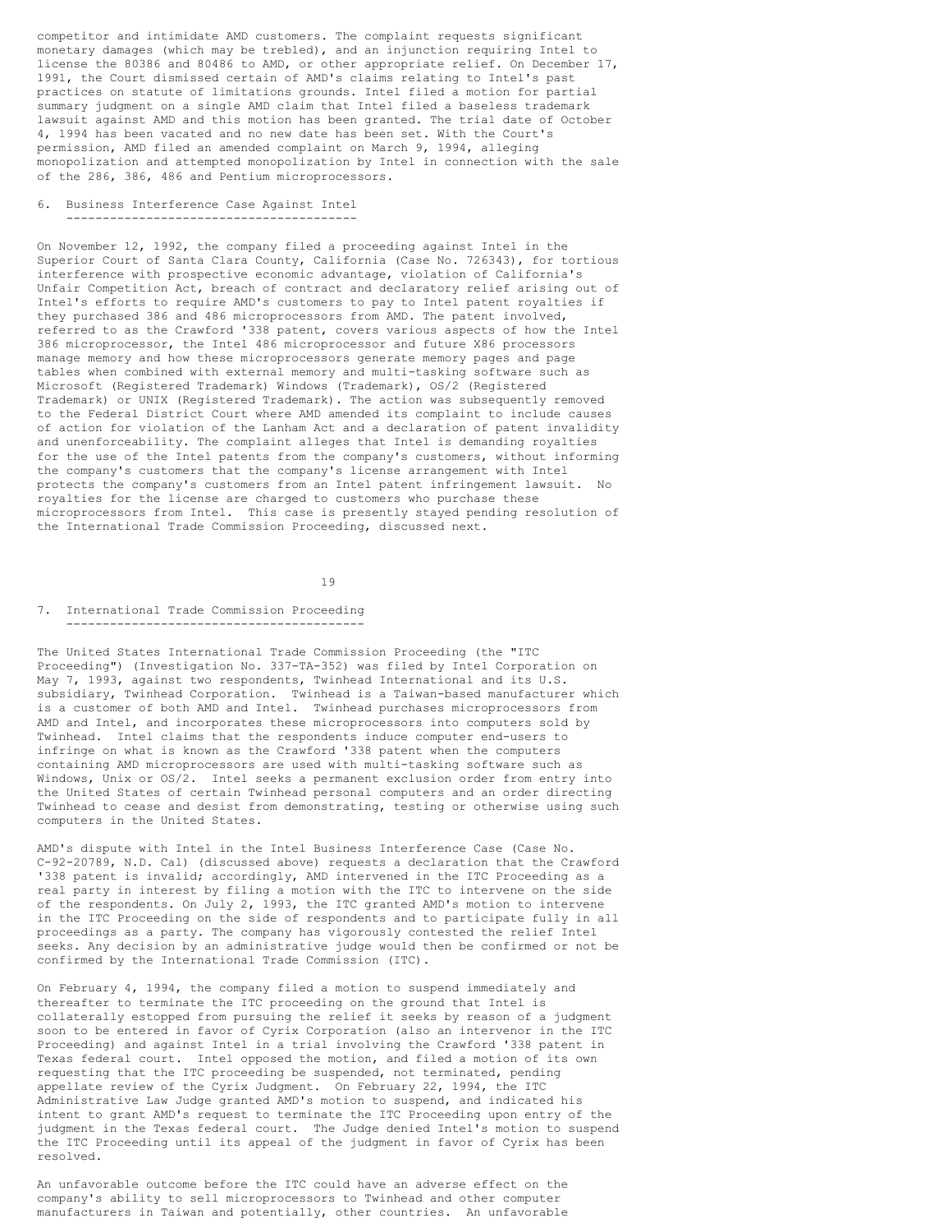competitor and intimidate AMD customers. The complaint requests significant monetary damages (which may be trebled), and an injunction requiring Intel to license the 80386 and 80486 to AMD, or other appropriate relief. On December 17, 1991, the Court dismissed certain of AMD's claims relating to Intel's past practices on statute of limitations grounds. Intel filed a motion for partial summary judgment on a single AMD claim that Intel filed a baseless trademark lawsuit against AMD and this motion has been granted. The trial date of October 4, 1994 has been vacated and no new date has been set. With the Court's permission, AMD filed an amended complaint on March 9, 1994, alleging monopolization and attempted monopolization by Intel in connection with the sale of the 286, 386, 486 and Pentium microprocessors.

6. Business Interference Case Against Intel ----------------------------------------

On November 12, 1992, the company filed a proceeding against Intel in the Superior Court of Santa Clara County, California (Case No. 726343), for tortious interference with prospective economic advantage, violation of California's Unfair Competition Act, breach of contract and declaratory relief arising out of Intel's efforts to require AMD's customers to pay to Intel patent royalties if they purchased 386 and 486 microprocessors from AMD. The patent involved, referred to as the Crawford '338 patent, covers various aspects of how the Intel 386 microprocessor, the Intel 486 microprocessor and future X86 processors manage memory and how these microprocessors generate memory pages and page tables when combined with external memory and multi-tasking software such as Microsoft (Registered Trademark) Windows (Trademark), OS/2 (Registered Trademark) or UNIX (Registered Trademark). The action was subsequently removed to the Federal District Court where AMD amended its complaint to include causes of action for violation of the Lanham Act and a declaration of patent invalidity and unenforceability. The complaint alleges that Intel is demanding royalties for the use of the Intel patents from the company's customers, without informing the company's customers that the company's license arrangement with Intel protects the company's customers from an Intel patent infringement lawsuit. No royalties for the license are charged to customers who purchase these microprocessors from Intel. This case is presently stayed pending resolution of the International Trade Commission Proceeding, discussed next.

19

7. International Trade Commission Proceeding -----------------------------------------

The United States International Trade Commission Proceeding (the "ITC Proceeding") (Investigation No. 337-TA-352) was filed by Intel Corporation on May 7, 1993, against two respondents, Twinhead International and its U.S. subsidiary, Twinhead Corporation. Twinhead is a Taiwan-based manufacturer which is a customer of both AMD and Intel. Twinhead purchases microprocessors from AMD and Intel, and incorporates these microprocessors into computers sold by Twinhead. Intel claims that the respondents induce computer end-users to infringe on what is known as the Crawford '338 patent when the computers containing AMD microprocessors are used with multi-tasking software such as Windows, Unix or OS/2. Intel seeks a permanent exclusion order from entry into the United States of certain Twinhead personal computers and an order directing Twinhead to cease and desist from demonstrating, testing or otherwise using such computers in the United States.

AMD's dispute with Intel in the Intel Business Interference Case (Case No. C-92-20789, N.D. Cal) (discussed above) requests a declaration that the Crawford '338 patent is invalid; accordingly, AMD intervened in the ITC Proceeding as a real party in interest by filing a motion with the ITC to intervene on the side of the respondents. On July 2, 1993, the ITC granted AMD's motion to intervene in the ITC Proceeding on the side of respondents and to participate fully in all proceedings as a party. The company has vigorously contested the relief Intel seeks. Any decision by an administrative judge would then be confirmed or not be confirmed by the International Trade Commission (ITC).

On February 4, 1994, the company filed a motion to suspend immediately and thereafter to terminate the ITC proceeding on the ground that Intel is collaterally estopped from pursuing the relief it seeks by reason of a judgment soon to be entered in favor of Cyrix Corporation (also an intervenor in the ITC Proceeding) and against Intel in a trial involving the Crawford '338 patent in Texas federal court. Intel opposed the motion, and filed a motion of its own requesting that the ITC proceeding be suspended, not terminated, pending appellate review of the Cyrix Judgment. On February 22, 1994, the ITC Administrative Law Judge granted AMD's motion to suspend, and indicated his intent to grant AMD's request to terminate the ITC Proceeding upon entry of the judgment in the Texas federal court. The Judge denied Intel's motion to suspend the ITC Proceeding until its appeal of the judgment in favor of Cyrix has been resolved.

An unfavorable outcome before the ITC could have an adverse effect on the company's ability to sell microprocessors to Twinhead and other computer manufacturers in Taiwan and potentially, other countries. An unfavorable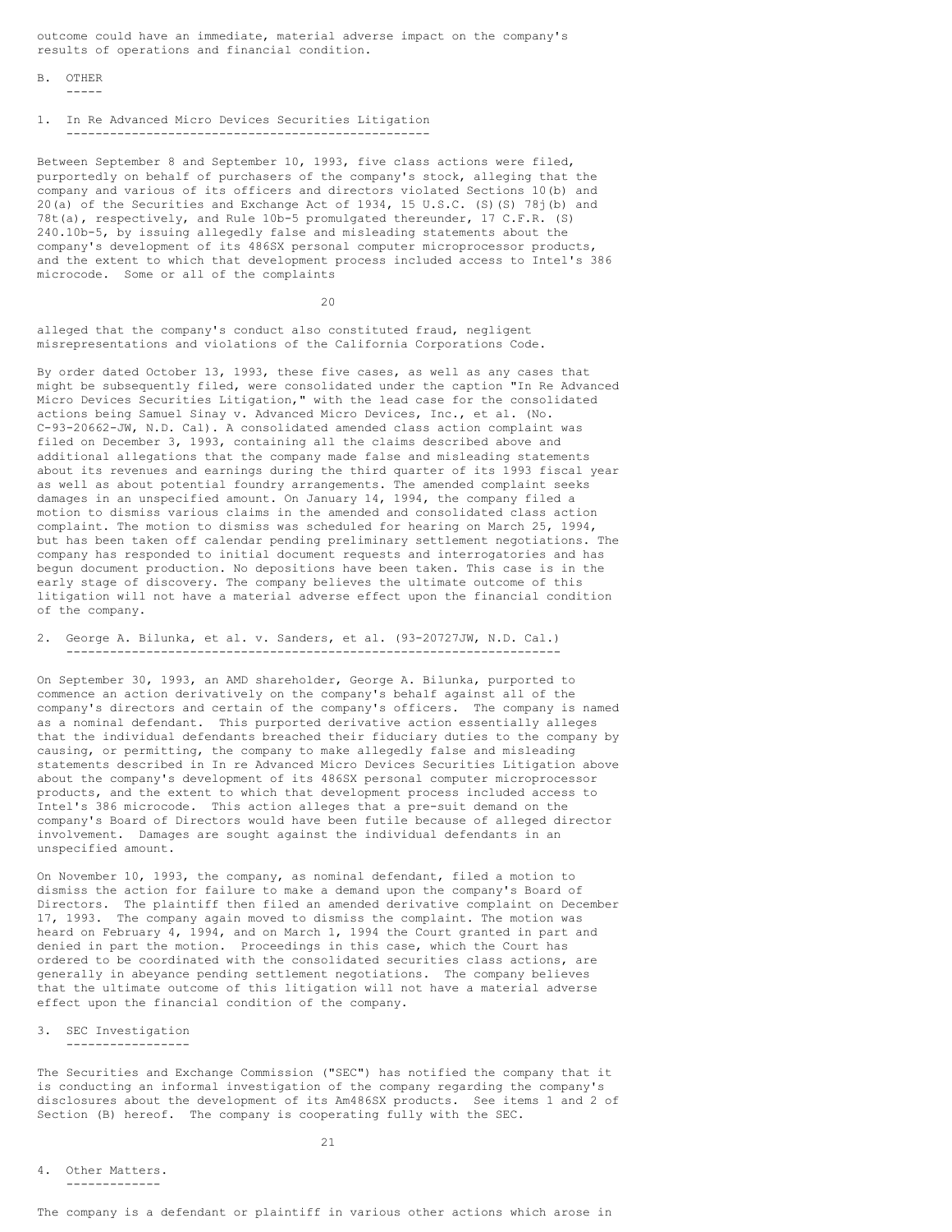outcome could have an immediate, material adverse impact on the company's results of operations and financial condition.

B. OTHER

-----

## 1. In Re Advanced Micro Devices Securities Litigation --------------------------------------------------

Between September 8 and September 10, 1993, five class actions were filed, purportedly on behalf of purchasers of the company's stock, alleging that the company and various of its officers and directors violated Sections 10(b) and 20(a) of the Securities and Exchange Act of 1934, 15 U.S.C. (S)(S) 78j(b) and 78t(a), respectively, and Rule 10b-5 promulgated thereunder, 17 C.F.R. (S) 240.10b-5, by issuing allegedly false and misleading statements about the company's development of its 486SX personal computer microprocessor products, and the extent to which that development process included access to Intel's 386 microcode. Some or all of the complaints

20

alleged that the company's conduct also constituted fraud, negligent misrepresentations and violations of the California Corporations Code.

By order dated October 13, 1993, these five cases, as well as any cases that might be subsequently filed, were consolidated under the caption "In Re Advanced Micro Devices Securities Litigation," with the lead case for the consolidated actions being Samuel Sinay v. Advanced Micro Devices, Inc., et al. (No. C-93-20662-JW, N.D. Cal). A consolidated amended class action complaint was filed on December 3, 1993, containing all the claims described above and additional allegations that the company made false and misleading statements about its revenues and earnings during the third quarter of its 1993 fiscal year as well as about potential foundry arrangements. The amended complaint seeks damages in an unspecified amount. On January 14, 1994, the company filed a motion to dismiss various claims in the amended and consolidated class action complaint. The motion to dismiss was scheduled for hearing on March 25, 1994, but has been taken off calendar pending preliminary settlement negotiations. The company has responded to initial document requests and interrogatories and has begun document production. No depositions have been taken. This case is in the early stage of discovery. The company believes the ultimate outcome of this litigation will not have a material adverse effect upon the financial condition of the company.

#### 2. George A. Bilunka, et al. v. Sanders, et al. (93-20727JW, N.D. Cal.) --------------------------------------------------------------------

On September 30, 1993, an AMD shareholder, George A. Bilunka, purported to commence an action derivatively on the company's behalf against all of the company's directors and certain of the company's officers. The company is named as a nominal defendant. This purported derivative action essentially alleges that the individual defendants breached their fiduciary duties to the company by causing, or permitting, the company to make allegedly false and misleading statements described in In re Advanced Micro Devices Securities Litigation above about the company's development of its 486SX personal computer microprocessor products, and the extent to which that development process included access to Intel's 386 microcode. This action alleges that a pre-suit demand on the company's Board of Directors would have been futile because of alleged director involvement. Damages are sought against the individual defendants in an unspecified amount.

On November 10, 1993, the company, as nominal defendant, filed a motion to dismiss the action for failure to make a demand upon the company's Board of Directors. The plaintiff then filed an amended derivative complaint on December 17, 1993. The company again moved to dismiss the complaint. The motion was heard on February 4, 1994, and on March 1, 1994 the Court granted in part and denied in part the motion. Proceedings in this case, which the Court has ordered to be coordinated with the consolidated securities class actions, are generally in abeyance pending settlement negotiations. The company believes that the ultimate outcome of this litigation will not have a material adverse effect upon the financial condition of the company.

3. SEC Investigation -----------------

The Securities and Exchange Commission ("SEC") has notified the company that it is conducting an informal investigation of the company regarding the company's disclosures about the development of its Am486SX products. See items 1 and 2 of Section (B) hereof. The company is cooperating fully with the SEC.

4. Other Matters. -------------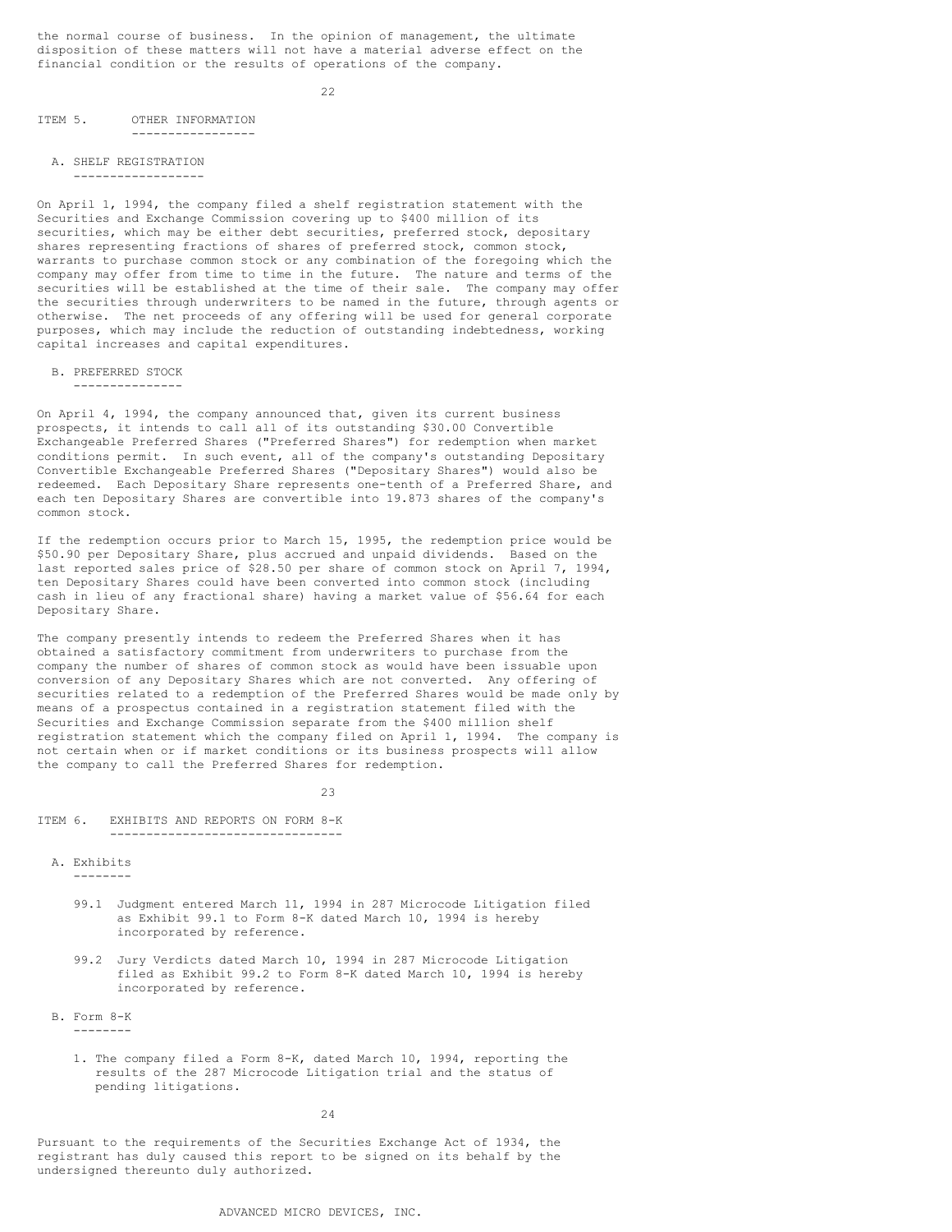the normal course of business. In the opinion of management, the ultimate disposition of these matters will not have a material adverse effect on the financial condition or the results of operations of the company.

22

## ITEM 5. OTHER INFORMATION -----------------

# A. SHELF REGISTRATION

------------------

On April 1, 1994, the company filed a shelf registration statement with the Securities and Exchange Commission covering up to \$400 million of its securities, which may be either debt securities, preferred stock, depositary shares representing fractions of shares of preferred stock, common stock, warrants to purchase common stock or any combination of the foregoing which the company may offer from time to time in the future. The nature and terms of the securities will be established at the time of their sale. The company may offer the securities through underwriters to be named in the future, through agents or otherwise. The net proceeds of any offering will be used for general corporate purposes, which may include the reduction of outstanding indebtedness, working capital increases and capital expenditures.

### B. PREFERRED STOCK

---------------

On April 4, 1994, the company announced that, given its current business prospects, it intends to call all of its outstanding \$30.00 Convertible Exchangeable Preferred Shares ("Preferred Shares") for redemption when market conditions permit. In such event, all of the company's outstanding Depositary Convertible Exchangeable Preferred Shares ("Depositary Shares") would also be redeemed. Each Depositary Share represents one-tenth of a Preferred Share, and each ten Depositary Shares are convertible into 19.873 shares of the company's common stock.

If the redemption occurs prior to March 15, 1995, the redemption price would be \$50.90 per Depositary Share, plus accrued and unpaid dividends. Based on the last reported sales price of \$28.50 per share of common stock on April 7, 1994, ten Depositary Shares could have been converted into common stock (including cash in lieu of any fractional share) having a market value of \$56.64 for each Depositary Share.

The company presently intends to redeem the Preferred Shares when it has obtained a satisfactory commitment from underwriters to purchase from the company the number of shares of common stock as would have been issuable upon conversion of any Depositary Shares which are not converted. Any offering of securities related to a redemption of the Preferred Shares would be made only by means of a prospectus contained in a registration statement filed with the Securities and Exchange Commission separate from the \$400 million shelf registration statement which the company filed on April 1, 1994. The company is not certain when or if market conditions or its business prospects will allow the company to call the Preferred Shares for redemption.

23

ITEM 6. EXHIBITS AND REPORTS ON FORM 8-K --------------------------------

- 99.1 Judgment entered March 11, 1994 in 287 Microcode Litigation filed as Exhibit 99.1 to Form 8-K dated March 10, 1994 is hereby incorporated by reference.
- 99.2 Jury Verdicts dated March 10, 1994 in 287 Microcode Litigation filed as Exhibit 99.2 to Form 8-K dated March 10, 1994 is hereby incorporated by reference.
- B. Form 8-K --------
	- 1. The company filed a Form 8-K, dated March 10, 1994, reporting the results of the 287 Microcode Litigation trial and the status of pending litigations.

24

Pursuant to the requirements of the Securities Exchange Act of 1934, the registrant has duly caused this report to be signed on its behalf by the undersigned thereunto duly authorized.

A. Exhibits --------